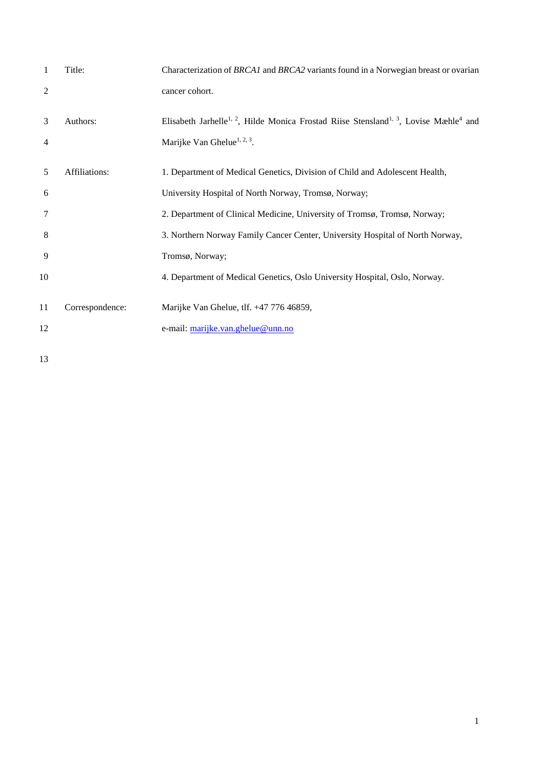| 1              | Title:          | Characterization of BRCA1 and BRCA2 variants found in a Norwegian breast or ovarian                                       |
|----------------|-----------------|---------------------------------------------------------------------------------------------------------------------------|
| $\overline{c}$ |                 | cancer cohort.                                                                                                            |
| 3              | Authors:        | Elisabeth Jarhelle <sup>1, 2</sup> , Hilde Monica Frostad Riise Stensland <sup>1, 3</sup> , Lovise Mæhle <sup>4</sup> and |
| 4              |                 | Marijke Van Ghelue <sup>1, 2, 3</sup> .                                                                                   |
| 5              | Affiliations:   | 1. Department of Medical Genetics, Division of Child and Adolescent Health,                                               |
| 6              |                 | University Hospital of North Norway, Tromsø, Norway;                                                                      |
| 7              |                 | 2. Department of Clinical Medicine, University of Tromsø, Tromsø, Norway;                                                 |
| 8              |                 | 3. Northern Norway Family Cancer Center, University Hospital of North Norway,                                             |
| 9              |                 | Tromsø, Norway;                                                                                                           |
| 10             |                 | 4. Department of Medical Genetics, Oslo University Hospital, Oslo, Norway.                                                |
| 11             | Correspondence: | Marijke Van Ghelue, tlf. +47 776 46859,                                                                                   |
| 12             |                 | e-mail: marijke.van.ghelue@unn.no                                                                                         |
| 13             |                 |                                                                                                                           |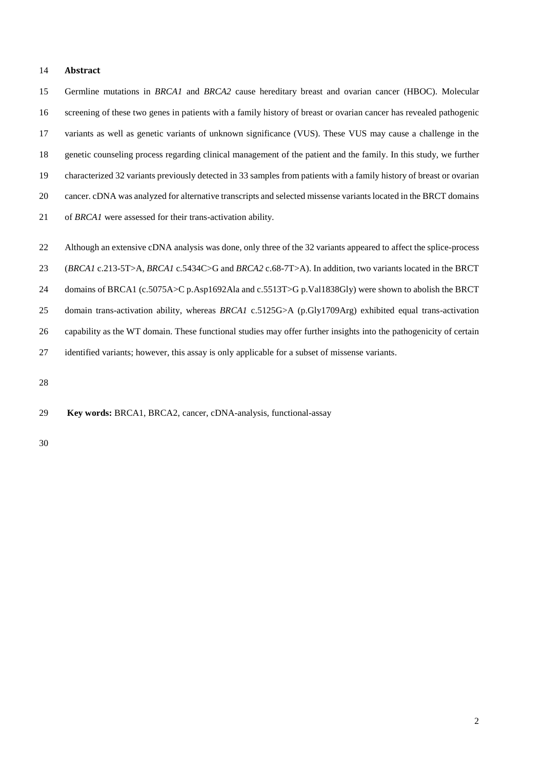## **Abstract**

 Germline mutations in *BRCA1* and *BRCA2* cause hereditary breast and ovarian cancer (HBOC). Molecular screening of these two genes in patients with a family history of breast or ovarian cancer has revealed pathogenic variants as well as genetic variants of unknown significance (VUS). These VUS may cause a challenge in the genetic counseling process regarding clinical management of the patient and the family. In this study, we further characterized 32 variants previously detected in 33 samples from patients with a family history of breast or ovarian cancer. cDNA was analyzed for alternative transcripts and selected missense variants located in the BRCT domains of *BRCA1* were assessed for their trans-activation ability.

Although an extensive cDNA analysis was done, only three of the 32 variants appeared to affect the splice-process

 (*BRCA1* c.213-5T>A, *BRCA1* c.5434C>G and *BRCA2* c.68-7T>A). In addition, two variants located in the BRCT domains of BRCA1 (c.5075A>C p.Asp1692Ala and c.5513T>G p.Val1838Gly) were shown to abolish the BRCT

 domain trans-activation ability, whereas *BRCA1* c.5125G>A (p.Gly1709Arg) exhibited equal trans-activation capability as the WT domain. These functional studies may offer further insights into the pathogenicity of certain

identified variants; however, this assay is only applicable for a subset of missense variants.

**Key words:** BRCA1, BRCA2, cancer, cDNA-analysis, functional-assay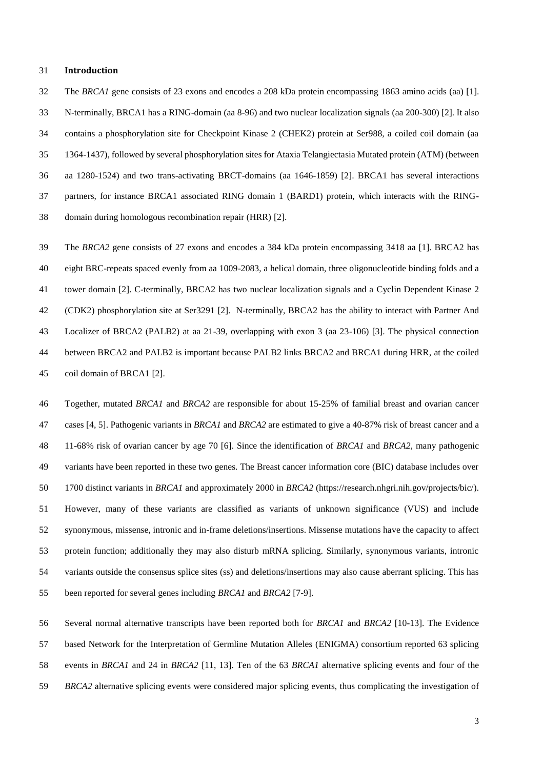#### **Introduction**

 The *BRCA1* gene consists of 23 exons and encodes a 208 kDa protein encompassing 1863 amino acids (aa) [1]. N-terminally, BRCA1 has a RING-domain (aa 8-96) and two nuclear localization signals (aa 200-300) [2]. It also contains a phosphorylation site for Checkpoint Kinase 2 (CHEK2) protein at Ser988, a coiled coil domain (aa 1364-1437), followed by several phosphorylation sites for Ataxia Telangiectasia Mutated protein (ATM) (between aa 1280-1524) and two trans-activating BRCT-domains (aa 1646-1859) [2]. BRCA1 has several interactions partners, for instance BRCA1 associated RING domain 1 (BARD1) protein, which interacts with the RING-domain during homologous recombination repair (HRR) [2].

 The *BRCA2* gene consists of 27 exons and encodes a 384 kDa protein encompassing 3418 aa [1]. BRCA2 has eight BRC-repeats spaced evenly from aa 1009-2083, a helical domain, three oligonucleotide binding folds and a tower domain [2]. C-terminally, BRCA2 has two nuclear localization signals and a Cyclin Dependent Kinase 2 (CDK2) phosphorylation site at Ser3291 [2]. N-terminally, BRCA2 has the ability to interact with Partner And Localizer of BRCA2 (PALB2) at aa 21-39, overlapping with exon 3 (aa 23-106) [3]. The physical connection between BRCA2 and PALB2 is important because PALB2 links BRCA2 and BRCA1 during HRR, at the coiled coil domain of BRCA1 [2].

 Together, mutated *BRCA1* and *BRCA2* are responsible for about 15-25% of familial breast and ovarian cancer cases [4, 5]. Pathogenic variants in *BRCA1* and *BRCA2* are estimated to give a 40-87% risk of breast cancer and a 11-68% risk of ovarian cancer by age 70 [6]. Since the identification of *BRCA1* and *BRCA2*, many pathogenic variants have been reported in these two genes. The Breast cancer information core (BIC) database includes over 1700 distinct variants in *BRCA1* and approximately 2000 in *BRCA2* [\(https://research.nhgri.nih.gov/projects/bic/\)](https://research.nhgri.nih.gov/projects/bic/). However, many of these variants are classified as variants of unknown significance (VUS) and include synonymous, missense, intronic and in-frame deletions/insertions. Missense mutations have the capacity to affect protein function; additionally they may also disturb mRNA splicing. Similarly, synonymous variants, intronic variants outside the consensus splice sites (ss) and deletions/insertions may also cause aberrant splicing. This has been reported for several genes including *BRCA1* and *BRCA2* [7-9].

 Several normal alternative transcripts have been reported both for *BRCA1* and *BRCA2* [10-13]. The Evidence based Network for the Interpretation of Germline Mutation Alleles (ENIGMA) consortium reported 63 splicing events in *BRCA1* and 24 in *BRCA2* [11, 13]. Ten of the 63 *BRCA1* alternative splicing events and four of the *BRCA2* alternative splicing events were considered major splicing events, thus complicating the investigation of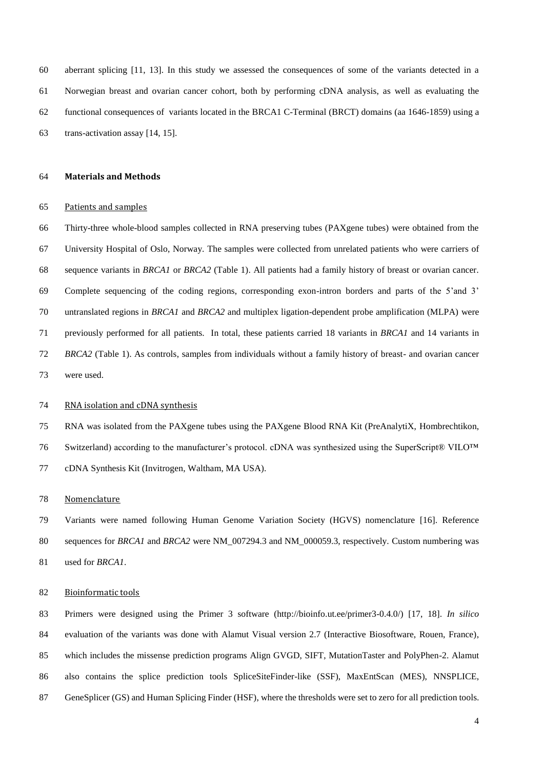aberrant splicing [11, 13]. In this study we assessed the consequences of some of the variants detected in a Norwegian breast and ovarian cancer cohort, both by performing cDNA analysis, as well as evaluating the functional consequences of variants located in the BRCA1 C-Terminal (BRCT) domains (aa 1646-1859) using a trans-activation assay [14, 15].

#### **Materials and Methods**

#### Patients and samples

 Thirty-three whole-blood samples collected in RNA preserving tubes (PAXgene tubes) were obtained from the University Hospital of Oslo, Norway. The samples were collected from unrelated patients who were carriers of sequence variants in *BRCA1* or *BRCA2* (Table 1). All patients had a family history of breast or ovarian cancer*.*  Complete sequencing of the coding regions, corresponding exon-intron borders and parts of the 5'and 3' untranslated regions in *BRCA1* and *BRCA2* and multiplex ligation-dependent probe amplification (MLPA) were previously performed for all patients. In total, these patients carried 18 variants in *BRCA1* and 14 variants in *BRCA2* (Table 1). As controls, samples from individuals without a family history of breast- and ovarian cancer were used.

# RNA isolation and cDNA synthesis

 RNA was isolated from the PAXgene tubes using the PAXgene Blood RNA Kit (PreAnalytiX, Hombrechtikon, Switzerland) according to the manufacturer's protocol. cDNA was synthesized using the SuperScript® VILO™ cDNA Synthesis Kit (Invitrogen, Waltham, MA USA).

# Nomenclature

 Variants were named following Human Genome Variation Society (HGVS) nomenclature [16]. Reference sequences for *BRCA1* and *BRCA2* were NM\_007294.3 and NM\_000059.3, respectively. Custom numbering was used for *BRCA1*.

#### Bioinformatic tools

 Primers were designed using the Primer 3 software (http://bioinfo.ut.ee/primer3-0.4.0/) [17, 18]. *In silico*  evaluation of the variants was done with Alamut Visual version 2.7 (Interactive Biosoftware, Rouen, France), which includes the missense prediction programs Align GVGD, SIFT, MutationTaster and PolyPhen-2. Alamut also contains the splice prediction tools SpliceSiteFinder-like (SSF), MaxEntScan (MES), NNSPLICE, GeneSplicer (GS) and Human Splicing Finder (HSF), where the thresholds were set to zero for all prediction tools.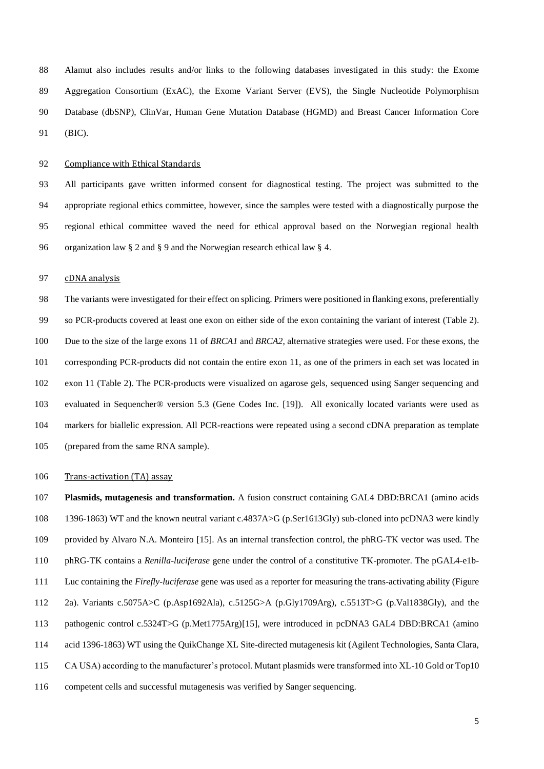Alamut also includes results and/or links to the following databases investigated in this study: the Exome Aggregation Consortium (ExAC), the Exome Variant Server (EVS), the Single Nucleotide Polymorphism Database (dbSNP), ClinVar, Human Gene Mutation Database (HGMD) and Breast Cancer Information Core (BIC).

#### 92 Compliance with Ethical Standards

 All participants gave written informed consent for diagnostical testing. The project was submitted to the appropriate regional ethics committee, however, since the samples were tested with a diagnostically purpose the regional ethical committee waved the need for ethical approval based on the Norwegian regional health organization law § 2 and § 9 and the Norwegian research ethical law § 4.

## 97 cDNA analysis

 The variants were investigated for their effect on splicing. Primers were positioned in flanking exons, preferentially so PCR-products covered at least one exon on either side of the exon containing the variant of interest (Table 2). Due to the size of the large exons 11 of *BRCA1* and *BRCA2*, alternative strategies were used. For these exons, the corresponding PCR-products did not contain the entire exon 11, as one of the primers in each set was located in exon 11 (Table 2). The PCR-products were visualized on agarose gels, sequenced using Sanger sequencing and evaluated in Sequencher® version 5.3 (Gene Codes Inc. [19]). All exonically located variants were used as markers for biallelic expression. All PCR-reactions were repeated using a second cDNA preparation as template (prepared from the same RNA sample).

## 106 Trans-activation (TA) assay

 **Plasmids, mutagenesis and transformation.** A fusion construct containing GAL4 DBD:BRCA1 (amino acids 1396-1863) WT and the known neutral variant c.4837A>G (p.Ser1613Gly) sub-cloned into pcDNA3 were kindly provided by Alvaro N.A. Monteiro [15]. As an internal transfection control, the phRG-TK vector was used. The phRG-TK contains a *Renilla*-*luciferase* gene under the control of a constitutive TK-promoter. The pGAL4-e1b- Luc containing the *Firefly-luciferase* gene was used as a reporter for measuring the trans-activating ability (Figure 2a). Variants c.5075A>C (p.Asp1692Ala), c.5125G>A (p.Gly1709Arg), c.5513T>G (p.Val1838Gly), and the 113 pathogenic control c.5324T>G (p.Met1775Arg)[15], were introduced in pcDNA3 GAL4 DBD:BRCA1 (amino acid 1396-1863) WT using the QuikChange XL Site-directed mutagenesis kit (Agilent Technologies, Santa Clara, CA USA) according to the manufacturer's protocol. Mutant plasmids were transformed into XL-10 Gold or Top10 competent cells and successful mutagenesis was verified by Sanger sequencing.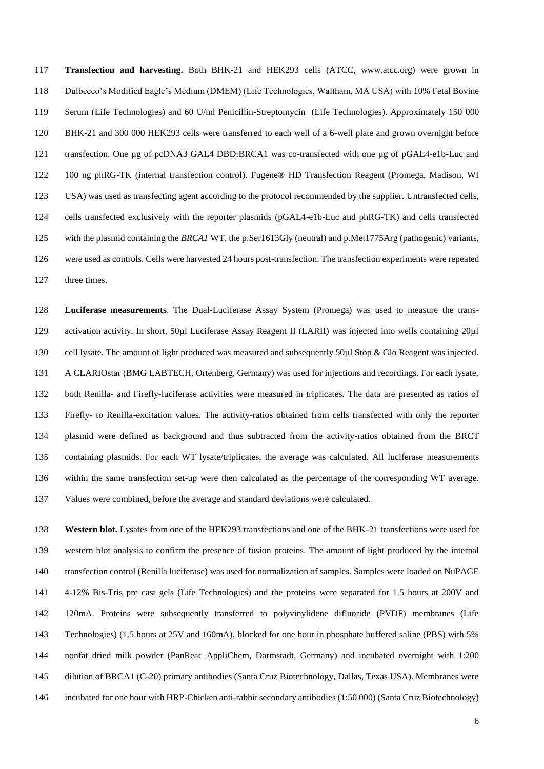**Transfection and harvesting.** Both BHK-21 and HEK293 cells (ATCC, www.atcc.org) were grown in Dulbecco's Modified Eagle's Medium (DMEM) (Life Technologies, Waltham, MA USA) with 10% Fetal Bovine Serum (Life Technologies) and 60 U/ml Penicillin-Streptomycin (Life Technologies). Approximately 150 000 BHK-21 and 300 000 HEK293 cells were transferred to each well of a 6-well plate and grown overnight before 121 transfection. One µg of pcDNA3 GAL4 DBD:BRCA1 was co-transfected with one µg of pGAL4-e1b-Luc and 100 ng phRG-TK (internal transfection control). Fugene® HD Transfection Reagent (Promega, Madison, WI USA) was used as transfecting agent according to the protocol recommended by the supplier. Untransfected cells, cells transfected exclusively with the reporter plasmids (pGAL4-e1b-Luc and phRG-TK) and cells transfected with the plasmid containing the *BRCA1* WT, the p.Ser1613Gly (neutral) and p.Met1775Arg (pathogenic) variants, were used as controls. Cells were harvested 24 hours post-transfection. The transfection experiments were repeated three times.

 **Luciferase measurements**. The Dual-Luciferase Assay System (Promega) was used to measure the trans- activation activity. In short, 50µl Luciferase Assay Reagent II (LARII) was injected into wells containing 20µl 130 cell lysate. The amount of light produced was measured and subsequently 50µl Stop & Glo Reagent was injected. A CLARIOstar (BMG LABTECH, Ortenberg, Germany) was used for injections and recordings. For each lysate, both Renilla- and Firefly-luciferase activities were measured in triplicates. The data are presented as ratios of Firefly- to Renilla-excitation values. The activity-ratios obtained from cells transfected with only the reporter plasmid were defined as background and thus subtracted from the activity-ratios obtained from the BRCT containing plasmids. For each WT lysate/triplicates, the average was calculated. All luciferase measurements within the same transfection set-up were then calculated as the percentage of the corresponding WT average. Values were combined, before the average and standard deviations were calculated.

 **Western blot.** Lysates from one of the HEK293 transfections and one of the BHK-21 transfections were used for western blot analysis to confirm the presence of fusion proteins. The amount of light produced by the internal transfection control (Renilla luciferase) was used for normalization of samples. Samples were loaded on NuPAGE 4-12% Bis-Tris pre cast gels (Life Technologies) and the proteins were separated for 1.5 hours at 200V and 120mA. Proteins were subsequently transferred to polyvinylidene difluoride (PVDF) membranes (Life Technologies) (1.5 hours at 25V and 160mA), blocked for one hour in phosphate buffered saline (PBS) with 5% nonfat dried milk powder (PanReac AppliChem, Darmstadt, Germany) and incubated overnight with 1:200 dilution of BRCA1 (C-20) primary antibodies (Santa Cruz Biotechnology, Dallas, Texas USA). Membranes were incubated for one hour with HRP-Chicken anti-rabbit secondary antibodies (1:50 000) (Santa Cruz Biotechnology)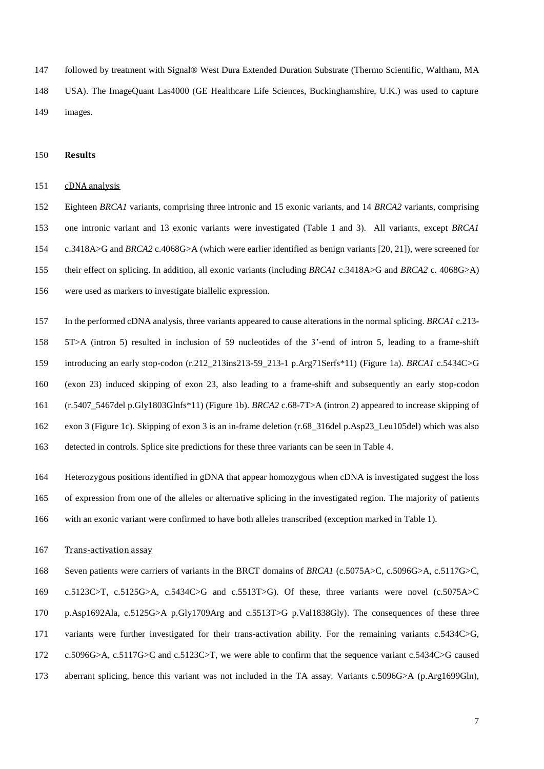followed by treatment with Signal® West Dura Extended Duration Substrate (Thermo Scientific, Waltham, MA USA). The ImageQuant Las4000 (GE Healthcare Life Sciences, Buckinghamshire, U.K.) was used to capture images.

# **Results**

# cDNA analysis

 Eighteen *BRCA1* variants, comprising three intronic and 15 exonic variants, and 14 *BRCA2* variants, comprising one intronic variant and 13 exonic variants were investigated (Table 1 and 3). All variants, except *BRCA1*  c.3418A>G and *BRCA2* c.4068G>A (which were earlier identified as benign variants [20, 21]), were screened for their effect on splicing. In addition, all exonic variants (including *BRCA1* c.3418A>G and *BRCA2* c. 4068G>A) were used as markers to investigate biallelic expression.

- In the performed cDNA analysis, three variants appeared to cause alterations in the normal splicing. *BRCA1* c.213- 5T>A (intron 5) resulted in inclusion of 59 nucleotides of the 3'-end of intron 5, leading to a frame-shift introducing an early stop-codon (r.212\_213ins213-59\_213-1 p.Arg71Serfs\*11) (Figure 1a). *BRCA1* c.5434C>G (exon 23) induced skipping of exon 23, also leading to a frame-shift and subsequently an early stop-codon (r.5407\_5467del p.Gly1803Glnfs\*11) (Figure 1b). *BRCA2* c.68-7T>A (intron 2) appeared to increase skipping of exon 3 (Figure 1c). Skipping of exon 3 is an in-frame deletion (r.68\_316del p.Asp23\_Leu105del) which was also detected in controls. Splice site predictions for these three variants can be seen in Table 4.
- Heterozygous positions identified in gDNA that appear homozygous when cDNA is investigated suggest the loss of expression from one of the alleles or alternative splicing in the investigated region. The majority of patients with an exonic variant were confirmed to have both alleles transcribed (exception marked in Table 1).

### Trans-activation assay

 Seven patients were carriers of variants in the BRCT domains of *BRCA1* (c.5075A>C, c.5096G>A, c.5117G>C, c.5123C>T, c.5125G>A, c.5434C>G and c.5513T>G)*.* Of these, three variants were novel (c.5075A>C p.Asp1692Ala, c.5125G>A p.Gly1709Arg and c.5513T>G p.Val1838Gly). The consequences of these three variants were further investigated for their trans-activation ability. For the remaining variants c.5434C>G, c.5096G>A, c.5117G>C and c.5123C>T, we were able to confirm that the sequence variant c.5434C>G caused aberrant splicing, hence this variant was not included in the TA assay. Variants c.5096G>A (p.Arg1699Gln),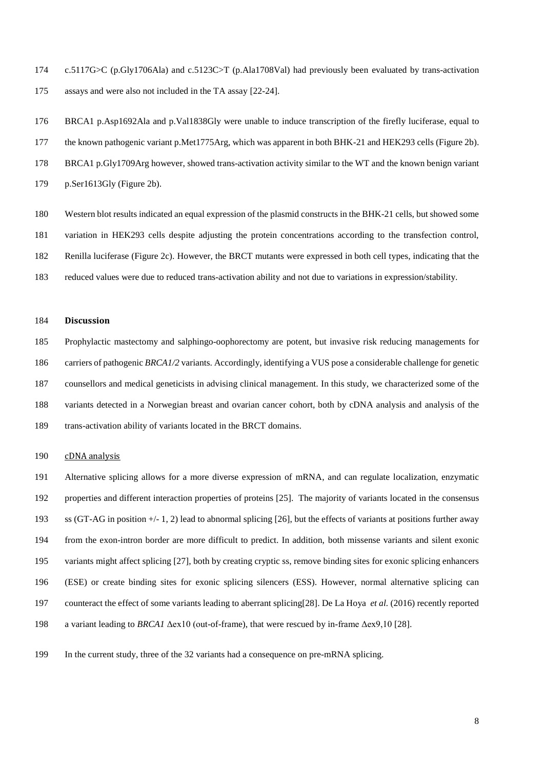c.5117G>C (p.Gly1706Ala) and c.5123C>T (p.Ala1708Val) had previously been evaluated by trans-activation assays and were also not included in the TA assay [22-24].

 BRCA1 p.Asp1692Ala and p.Val1838Gly were unable to induce transcription of the firefly luciferase, equal to the known pathogenic variant p.Met1775Arg, which was apparent in both BHK-21 and HEK293 cells (Figure 2b). BRCA1 p.Gly1709Arg however, showed trans-activation activity similar to the WT and the known benign variant p.Ser1613Gly (Figure 2b).

 Western blot results indicated an equal expression of the plasmid constructs in the BHK-21 cells, but showed some variation in HEK293 cells despite adjusting the protein concentrations according to the transfection control, Renilla luciferase (Figure 2c). However, the BRCT mutants were expressed in both cell types, indicating that the reduced values were due to reduced trans-activation ability and not due to variations in expression/stability.

## **Discussion**

 Prophylactic mastectomy and salphingo-oophorectomy are potent, but invasive risk reducing managements for carriers of pathogenic *BRCA1/2* variants. Accordingly, identifying a VUS pose a considerable challenge for genetic counsellors and medical geneticists in advising clinical management. In this study, we characterized some of the variants detected in a Norwegian breast and ovarian cancer cohort, both by cDNA analysis and analysis of the trans-activation ability of variants located in the BRCT domains.

# cDNA analysis

 Alternative splicing allows for a more diverse expression of mRNA, and can regulate localization, enzymatic properties and different interaction properties of proteins [25]. The majority of variants located in the consensus ss (GT-AG in position +/- 1, 2) lead to abnormal splicing [26], but the effects of variants at positions further away from the exon-intron border are more difficult to predict. In addition, both missense variants and silent exonic variants might affect splicing [27], both by creating cryptic ss, remove binding sites for exonic splicing enhancers (ESE) or create binding sites for exonic splicing silencers (ESS). However, normal alternative splicing can counteract the effect of some variants leading to aberrant splicing[28]. De La Hoya *et al.* (2016) recently reported a variant leading to *BRCA1* Δex10 (out-of-frame), that were rescued by in-frame Δex9,10 [28].

In the current study, three of the 32 variants had a consequence on pre-mRNA splicing.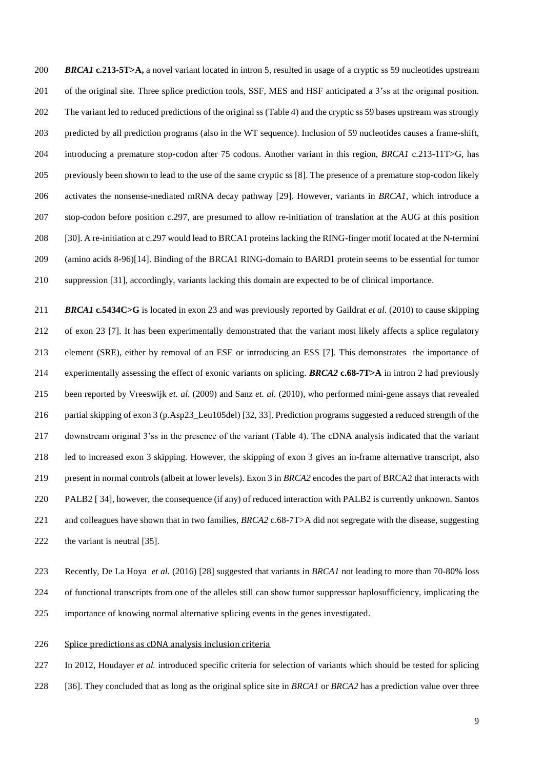*BRCA1* **c.213-5T>A,** a novel variant located in intron 5, resulted in usage of a cryptic ss 59 nucleotides upstream of the original site. Three splice prediction tools, SSF, MES and HSF anticipated a 3'ss at the original position. The variant led to reduced predictions of the original ss (Table 4) and the cryptic ss 59 bases upstream was strongly predicted by all prediction programs (also in the WT sequence). Inclusion of 59 nucleotides causes a frame-shift, introducing a premature stop-codon after 75 codons. Another variant in this region, *BRCA1* c.213-11T>G, has previously been shown to lead to the use of the same cryptic ss [8]. The presence of a premature stop-codon likely activates the nonsense-mediated mRNA decay pathway [29]. However, variants in *BRCA1,* which introduce a stop-codon before position c.297, are presumed to allow re-initiation of translation at the AUG at this position [30]. A re-initiation at c.297 would lead to BRCA1 proteins lacking the RING-finger motif located at the N-termini (amino acids 8-96)[14]. Binding of the BRCA1 RING-domain to BARD1 protein seems to be essential for tumor suppression [31], accordingly, variants lacking this domain are expected to be of clinical importance.

 *BRCA1* **c.5434C>G** is located in exon 23 and was previously reported by Gaildrat *et al.* (2010) to cause skipping of exon 23 [7]. It has been experimentally demonstrated that the variant most likely affects a splice regulatory element (SRE), either by removal of an ESE or introducing an ESS [7]. This demonstrates the importance of experimentally assessing the effect of exonic variants on splicing. *BRCA2* **c.68-7T>A** in intron 2 had previously been reported by Vreeswijk *et. al.* (2009) and Sanz *et. al.* (2010), who performed mini-gene assays that revealed partial skipping of exon 3 (p.Asp23\_Leu105del) [32, 33]. Prediction programs suggested a reduced strength of the downstream original 3'ss in the presence of the variant (Table 4). The cDNA analysis indicated that the variant led to increased exon 3 skipping. However, the skipping of exon 3 gives an in-frame alternative transcript, also present in normal controls (albeit at lower levels). Exon 3 in *BRCA2* encodes the part of BRCA2 that interacts with PALB2 [ 34], however, the consequence (if any) of reduced interaction with PALB2 is currently unknown. Santos and colleagues have shown that in two families, *BRCA2* c.68-7T>A did not segregate with the disease, suggesting 222 the variant is neutral [35].

 Recently, De La Hoya *et al.* (2016) [28] suggested that variants in *BRCA1* not leading to more than 70-80% loss of functional transcripts from one of the alleles still can show tumor suppressor haplosufficiency, implicating the importance of knowing normal alternative splicing events in the genes investigated.

Splice predictions as cDNA analysis inclusion criteria

In 2012, Houdayer *et al.* introduced specific criteria for selection of variants which should be tested for splicing

[36]. They concluded that as long as the original splice site in *BRCA1* or *BRCA2* has a prediction value over three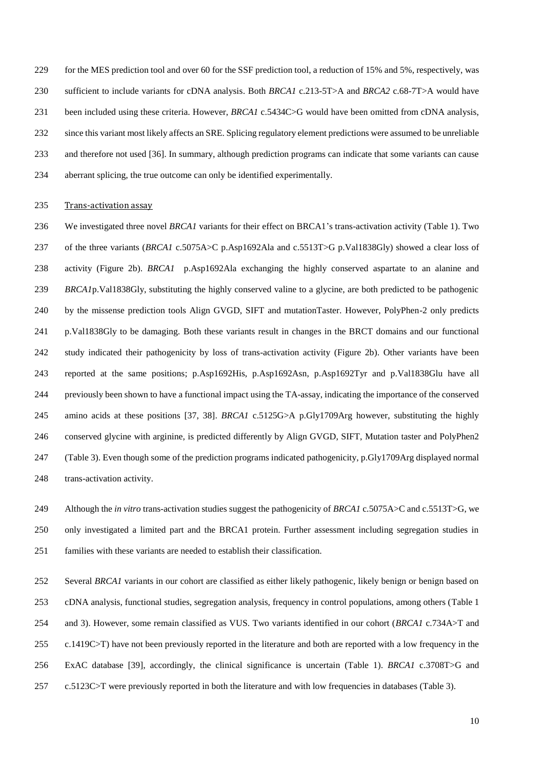229 for the MES prediction tool and over 60 for the SSF prediction tool, a reduction of 15% and 5%, respectively, was sufficient to include variants for cDNA analysis. Both *BRCA1* c.213-5T>A and *BRCA2* c.68-7T>A would have been included using these criteria. However, *BRCA1* c.5434C>G would have been omitted from cDNA analysis, since this variant most likely affects an SRE. Splicing regulatory element predictions were assumed to be unreliable and therefore not used [36]. In summary, although prediction programs can indicate that some variants can cause aberrant splicing, the true outcome can only be identified experimentally.

# 235 Trans-activation assay

 We investigated three novel *BRCA1* variants for their effect on BRCA1's trans-activation activity (Table 1). Two of the three variants (*BRCA1* c.5075A>C p.Asp1692Ala and c.5513T>G p.Val1838Gly) showed a clear loss of activity (Figure 2b). *BRCA1* p.Asp1692Ala exchanging the highly conserved aspartate to an alanine and *BRCA1*p.Val1838Gly, substituting the highly conserved valine to a glycine, are both predicted to be pathogenic by the missense prediction tools Align GVGD, SIFT and mutationTaster. However, PolyPhen-2 only predicts p.Val1838Gly to be damaging. Both these variants result in changes in the BRCT domains and our functional study indicated their pathogenicity by loss of trans-activation activity (Figure 2b). Other variants have been reported at the same positions; p.Asp1692His, p.Asp1692Asn, p.Asp1692Tyr and p.Val1838Glu have all previously been shown to have a functional impact using the TA-assay, indicating the importance of the conserved amino acids at these positions [37, 38]. *BRCA1* c.5125G>A p.Gly1709Arg however, substituting the highly conserved glycine with arginine, is predicted differently by Align GVGD, SIFT, Mutation taster and PolyPhen2 (Table 3). Even though some of the prediction programs indicated pathogenicity, p.Gly1709Arg displayed normal trans-activation activity.

 Although the *in vitro* trans-activation studies suggest the pathogenicity of *BRCA1* c.5075A>C and c.5513T>G, we only investigated a limited part and the BRCA1 protein. Further assessment including segregation studies in families with these variants are needed to establish their classification.

 Several *BRCA1* variants in our cohort are classified as either likely pathogenic, likely benign or benign based on cDNA analysis, functional studies, segregation analysis, frequency in control populations, among others (Table 1 and 3). However, some remain classified as VUS. Two variants identified in our cohort (*BRCA1* c.734A>T and c.1419C>T) have not been previously reported in the literature and both are reported with a low frequency in the ExAC database [39], accordingly, the clinical significance is uncertain (Table 1). *BRCA1* c.3708T>G and c.5123C>T were previously reported in both the literature and with low frequencies in databases (Table 3).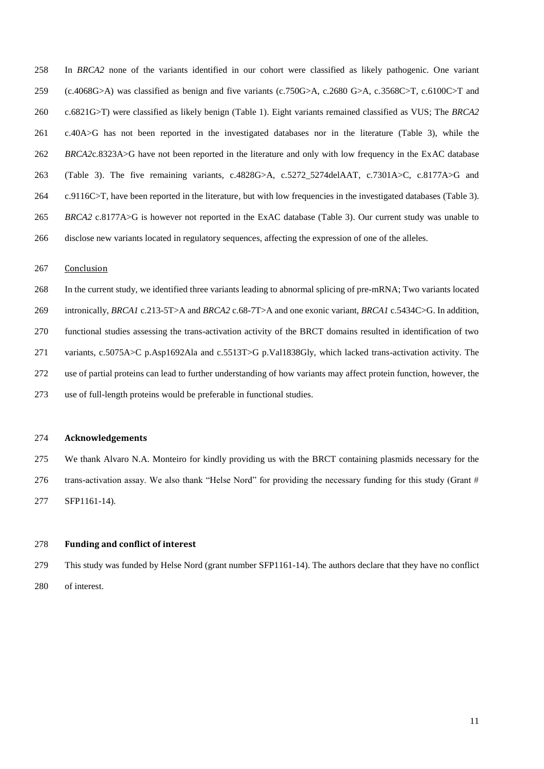In *BRCA2* none of the variants identified in our cohort were classified as likely pathogenic. One variant (c.4068G>A) was classified as benign and five variants (c.750G>A, c.2680 G>A, c.3568C>T, c.6100C>T and c.6821G>T) were classified as likely benign (Table 1). Eight variants remained classified as VUS; The *BRCA2* c.40A>G has not been reported in the investigated databases nor in the literature (Table 3), while the *BRCA2*c.8323A>G have not been reported in the literature and only with low frequency in the ExAC database (Table 3). The five remaining variants, c.4828G>A, c.5272\_5274delAAT, c.7301A>C, c.8177A>G and c.9116C>T, have been reported in the literature, but with low frequencies in the investigated databases (Table 3). *BRCA2* c.8177A>G is however not reported in the ExAC database (Table 3). Our current study was unable to disclose new variants located in regulatory sequences, affecting the expression of one of the alleles.

#### Conclusion

 In the current study, we identified three variants leading to abnormal splicing of pre-mRNA; Two variants located intronically, *BRCA1* c.213-5T>A and *BRCA2* c.68-7T>A and one exonic variant, *BRCA1* c.5434C>G. In addition, functional studies assessing the trans-activation activity of the BRCT domains resulted in identification of two variants, c.5075A>C p.Asp1692Ala and c.5513T>G p.Val1838Gly, which lacked trans-activation activity. The use of partial proteins can lead to further understanding of how variants may affect protein function, however, the use of full-length proteins would be preferable in functional studies.

# **Acknowledgements**

 We thank Alvaro N.A. Monteiro for kindly providing us with the BRCT containing plasmids necessary for the 276 trans-activation assay. We also thank "Helse Nord" for providing the necessary funding for this study (Grant  $#$ SFP1161-14).

## **Funding and conflict of interest**

 This study was funded by Helse Nord (grant number SFP1161-14). The authors declare that they have no conflict of interest.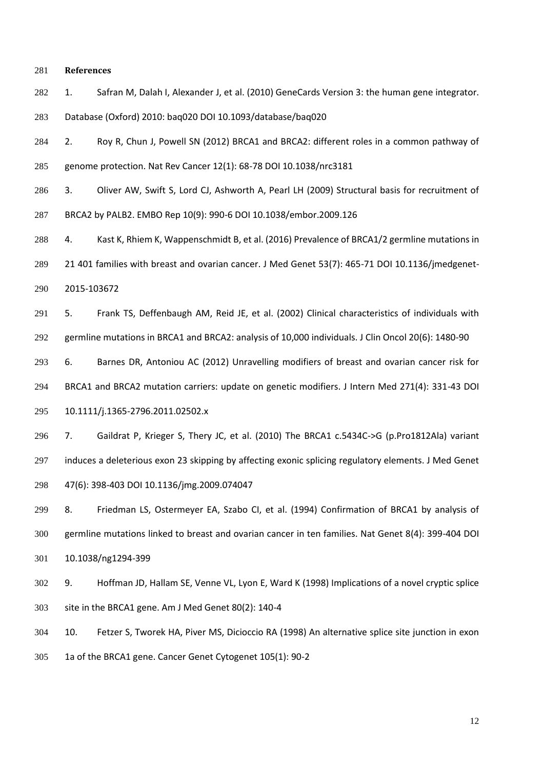## **References**

1. Safran M, Dalah I, Alexander J, et al. (2010) GeneCards Version 3: the human gene integrator.

Database (Oxford) 2010: baq020 DOI 10.1093/database/baq020

 2. Roy R, Chun J, Powell SN (2012) BRCA1 and BRCA2: different roles in a common pathway of genome protection. Nat Rev Cancer 12(1): 68-78 DOI 10.1038/nrc3181

3. Oliver AW, Swift S, Lord CJ, Ashworth A, Pearl LH (2009) Structural basis for recruitment of

BRCA2 by PALB2. EMBO Rep 10(9): 990-6 DOI 10.1038/embor.2009.126

288 4. Kast K, Rhiem K, Wappenschmidt B, et al. (2016) Prevalence of BRCA1/2 germline mutations in

21 401 families with breast and ovarian cancer. J Med Genet 53(7): 465-71 DOI 10.1136/jmedgenet-

2015-103672

 5. Frank TS, Deffenbaugh AM, Reid JE, et al. (2002) Clinical characteristics of individuals with germline mutations in BRCA1 and BRCA2: analysis of 10,000 individuals. J Clin Oncol 20(6): 1480-90

 6. Barnes DR, Antoniou AC (2012) Unravelling modifiers of breast and ovarian cancer risk for BRCA1 and BRCA2 mutation carriers: update on genetic modifiers. J Intern Med 271(4): 331-43 DOI

10.1111/j.1365-2796.2011.02502.x

 7. Gaildrat P, Krieger S, Thery JC, et al. (2010) The BRCA1 c.5434C->G (p.Pro1812Ala) variant induces a deleterious exon 23 skipping by affecting exonic splicing regulatory elements. J Med Genet 47(6): 398-403 DOI 10.1136/jmg.2009.074047

 8. Friedman LS, Ostermeyer EA, Szabo CI, et al. (1994) Confirmation of BRCA1 by analysis of germline mutations linked to breast and ovarian cancer in ten families. Nat Genet 8(4): 399-404 DOI 10.1038/ng1294-399

 9. Hoffman JD, Hallam SE, Venne VL, Lyon E, Ward K (1998) Implications of a novel cryptic splice site in the BRCA1 gene. Am J Med Genet 80(2): 140-4

 10. Fetzer S, Tworek HA, Piver MS, Dicioccio RA (1998) An alternative splice site junction in exon 1a of the BRCA1 gene. Cancer Genet Cytogenet 105(1): 90-2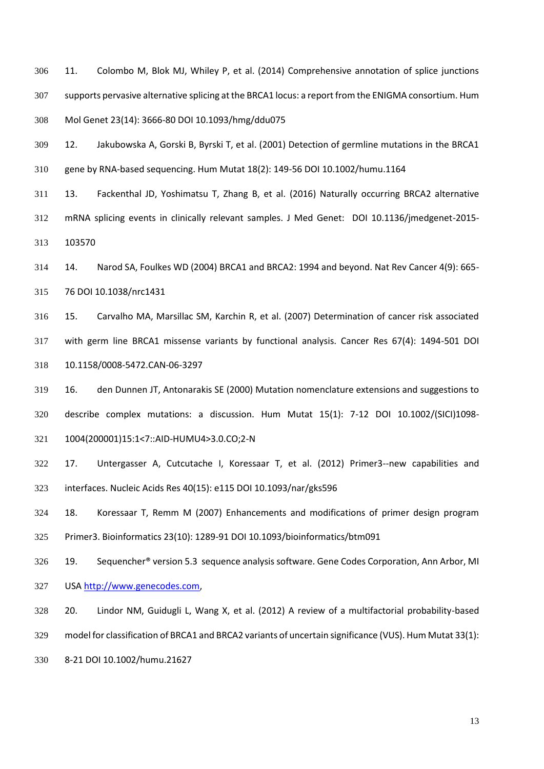11. Colombo M, Blok MJ, Whiley P, et al. (2014) Comprehensive annotation of splice junctions supports pervasive alternative splicing at the BRCA1 locus: a report from the ENIGMA consortium. Hum Mol Genet 23(14): 3666-80 DOI 10.1093/hmg/ddu075

 12. Jakubowska A, Gorski B, Byrski T, et al. (2001) Detection of germline mutations in the BRCA1 gene by RNA-based sequencing. Hum Mutat 18(2): 149-56 DOI 10.1002/humu.1164

 13. Fackenthal JD, Yoshimatsu T, Zhang B, et al. (2016) Naturally occurring BRCA2 alternative mRNA splicing events in clinically relevant samples. J Med Genet: DOI 10.1136/jmedgenet-2015- 103570

 14. Narod SA, Foulkes WD (2004) BRCA1 and BRCA2: 1994 and beyond. Nat Rev Cancer 4(9): 665- 76 DOI 10.1038/nrc1431

 15. Carvalho MA, Marsillac SM, Karchin R, et al. (2007) Determination of cancer risk associated with germ line BRCA1 missense variants by functional analysis. Cancer Res 67(4): 1494-501 DOI 10.1158/0008-5472.CAN-06-3297

 16. den Dunnen JT, Antonarakis SE (2000) Mutation nomenclature extensions and suggestions to describe complex mutations: a discussion. Hum Mutat 15(1): 7-12 DOI 10.1002/(SICI)1098- 1004(200001)15:1<7::AID-HUMU4>3.0.CO;2-N

17. Untergasser A, Cutcutache I, Koressaar T, et al. (2012) Primer3--new capabilities and

interfaces. Nucleic Acids Res 40(15): e115 DOI 10.1093/nar/gks596

18. Koressaar T, Remm M (2007) Enhancements and modifications of primer design program

Primer3. Bioinformatics 23(10): 1289-91 DOI 10.1093/bioinformatics/btm091

 19. Sequencher® version 5.3 sequence analysis software. Gene Codes Corporation, Ann Arbor, MI USA [http://www.genecodes.com,](http://www.genecodes.com/)

20. Lindor NM, Guidugli L, Wang X, et al. (2012) A review of a multifactorial probability-based

model for classification of BRCA1 and BRCA2 variants of uncertain significance (VUS). Hum Mutat 33(1):

8-21 DOI 10.1002/humu.21627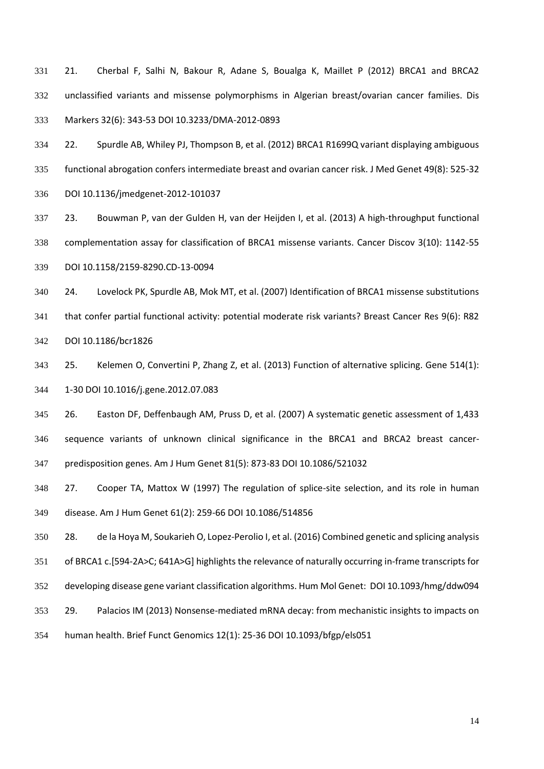21. Cherbal F, Salhi N, Bakour R, Adane S, Boualga K, Maillet P (2012) BRCA1 and BRCA2 unclassified variants and missense polymorphisms in Algerian breast/ovarian cancer families. Dis Markers 32(6): 343-53 DOI 10.3233/DMA-2012-0893

 22. Spurdle AB, Whiley PJ, Thompson B, et al. (2012) BRCA1 R1699Q variant displaying ambiguous functional abrogation confers intermediate breast and ovarian cancer risk. J Med Genet 49(8): 525-32 DOI 10.1136/jmedgenet-2012-101037

 23. Bouwman P, van der Gulden H, van der Heijden I, et al. (2013) A high-throughput functional complementation assay for classification of BRCA1 missense variants. Cancer Discov 3(10): 1142-55 DOI 10.1158/2159-8290.CD-13-0094

 24. Lovelock PK, Spurdle AB, Mok MT, et al. (2007) Identification of BRCA1 missense substitutions that confer partial functional activity: potential moderate risk variants? Breast Cancer Res 9(6): R82 DOI 10.1186/bcr1826

 25. Kelemen O, Convertini P, Zhang Z, et al. (2013) Function of alternative splicing. Gene 514(1): 1-30 DOI 10.1016/j.gene.2012.07.083

 26. Easton DF, Deffenbaugh AM, Pruss D, et al. (2007) A systematic genetic assessment of 1,433 sequence variants of unknown clinical significance in the BRCA1 and BRCA2 breast cancer-predisposition genes. Am J Hum Genet 81(5): 873-83 DOI 10.1086/521032

 27. Cooper TA, Mattox W (1997) The regulation of splice-site selection, and its role in human disease. Am J Hum Genet 61(2): 259-66 DOI 10.1086/514856

28. de la Hoya M, Soukarieh O, Lopez-Perolio I, et al. (2016) Combined genetic and splicing analysis

of BRCA1 c.[594-2A>C; 641A>G] highlights the relevance of naturally occurring in-frame transcripts for

developing disease gene variant classification algorithms. Hum Mol Genet: DOI 10.1093/hmg/ddw094

29. Palacios IM (2013) Nonsense-mediated mRNA decay: from mechanistic insights to impacts on

human health. Brief Funct Genomics 12(1): 25-36 DOI 10.1093/bfgp/els051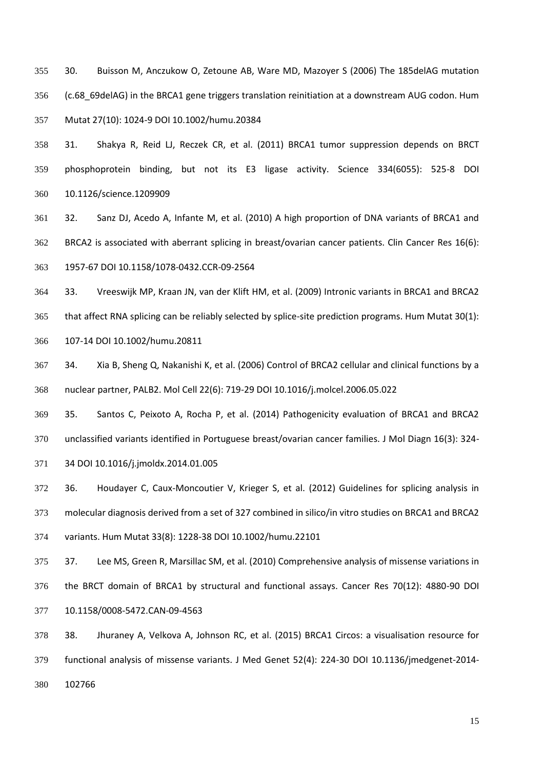30. Buisson M, Anczukow O, Zetoune AB, Ware MD, Mazoyer S (2006) The 185delAG mutation (c.68\_69delAG) in the BRCA1 gene triggers translation reinitiation at a downstream AUG codon. Hum Mutat 27(10): 1024-9 DOI 10.1002/humu.20384

 31. Shakya R, Reid LJ, Reczek CR, et al. (2011) BRCA1 tumor suppression depends on BRCT phosphoprotein binding, but not its E3 ligase activity. Science 334(6055): 525-8 DOI 10.1126/science.1209909

 32. Sanz DJ, Acedo A, Infante M, et al. (2010) A high proportion of DNA variants of BRCA1 and BRCA2 is associated with aberrant splicing in breast/ovarian cancer patients. Clin Cancer Res 16(6): 1957-67 DOI 10.1158/1078-0432.CCR-09-2564

 33. Vreeswijk MP, Kraan JN, van der Klift HM, et al. (2009) Intronic variants in BRCA1 and BRCA2 that affect RNA splicing can be reliably selected by splice-site prediction programs. Hum Mutat 30(1):

107-14 DOI 10.1002/humu.20811

 34. Xia B, Sheng Q, Nakanishi K, et al. (2006) Control of BRCA2 cellular and clinical functions by a nuclear partner, PALB2. Mol Cell 22(6): 719-29 DOI 10.1016/j.molcel.2006.05.022

 35. Santos C, Peixoto A, Rocha P, et al. (2014) Pathogenicity evaluation of BRCA1 and BRCA2 unclassified variants identified in Portuguese breast/ovarian cancer families. J Mol Diagn 16(3): 324-

34 DOI 10.1016/j.jmoldx.2014.01.005

 36. Houdayer C, Caux-Moncoutier V, Krieger S, et al. (2012) Guidelines for splicing analysis in molecular diagnosis derived from a set of 327 combined in silico/in vitro studies on BRCA1 and BRCA2 variants. Hum Mutat 33(8): 1228-38 DOI 10.1002/humu.22101

 37. Lee MS, Green R, Marsillac SM, et al. (2010) Comprehensive analysis of missense variations in the BRCT domain of BRCA1 by structural and functional assays. Cancer Res 70(12): 4880-90 DOI 10.1158/0008-5472.CAN-09-4563

 38. Jhuraney A, Velkova A, Johnson RC, et al. (2015) BRCA1 Circos: a visualisation resource for functional analysis of missense variants. J Med Genet 52(4): 224-30 DOI 10.1136/jmedgenet-2014- 102766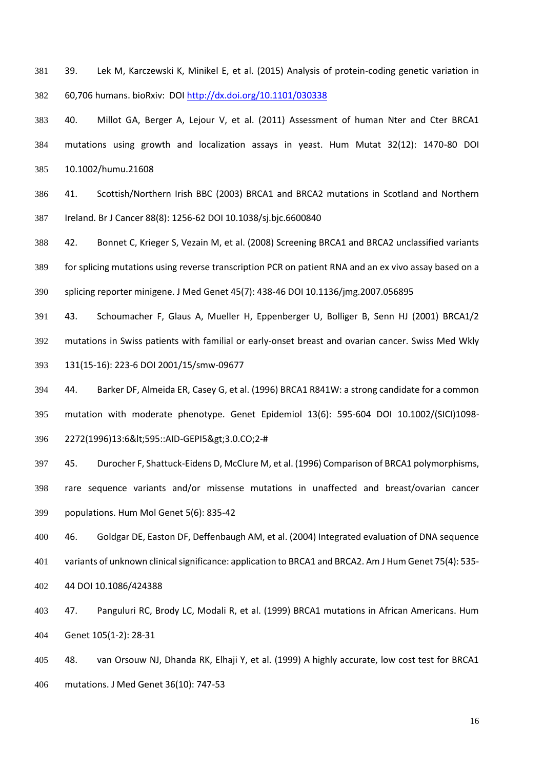- 39. Lek M, Karczewski K, Minikel E, et al. (2015) Analysis of protein-coding genetic variation in 60,706 humans. bioRxiv: DO[I http://dx.doi.org/10.1101/030338](http://dx.doi.org/10.1101/030338)
- 40. Millot GA, Berger A, Lejour V, et al. (2011) Assessment of human Nter and Cter BRCA1 mutations using growth and localization assays in yeast. Hum Mutat 32(12): 1470-80 DOI 10.1002/humu.21608
- 41. Scottish/Northern Irish BBC (2003) BRCA1 and BRCA2 mutations in Scotland and Northern Ireland. Br J Cancer 88(8): 1256-62 DOI 10.1038/sj.bjc.6600840
- 42. Bonnet C, Krieger S, Vezain M, et al. (2008) Screening BRCA1 and BRCA2 unclassified variants
- for splicing mutations using reverse transcription PCR on patient RNA and an ex vivo assay based on a
- splicing reporter minigene. J Med Genet 45(7): 438-46 DOI 10.1136/jmg.2007.056895
- 43. Schoumacher F, Glaus A, Mueller H, Eppenberger U, Bolliger B, Senn HJ (2001) BRCA1/2 mutations in Swiss patients with familial or early-onset breast and ovarian cancer. Swiss Med Wkly 131(15-16): 223-6 DOI 2001/15/smw-09677
- 44. Barker DF, Almeida ER, Casey G, et al. (1996) BRCA1 R841W: a strong candidate for a common mutation with moderate phenotype. Genet Epidemiol 13(6): 595-604 DOI 10.1002/(SICI)1098- 396 2272(1996)13:6<595::AID-GEPI5&gt;3.0.CO;2-#
- - 45. Durocher F, Shattuck-Eidens D, McClure M, et al. (1996) Comparison of BRCA1 polymorphisms, rare sequence variants and/or missense mutations in unaffected and breast/ovarian cancer populations. Hum Mol Genet 5(6): 835-42
- 46. Goldgar DE, Easton DF, Deffenbaugh AM, et al. (2004) Integrated evaluation of DNA sequence variants of unknown clinical significance: application to BRCA1 and BRCA2. Am J Hum Genet 75(4): 535- 44 DOI 10.1086/424388
- 47. Panguluri RC, Brody LC, Modali R, et al. (1999) BRCA1 mutations in African Americans. Hum Genet 105(1-2): 28-31
- 48. van Orsouw NJ, Dhanda RK, Elhaji Y, et al. (1999) A highly accurate, low cost test for BRCA1 mutations. J Med Genet 36(10): 747-53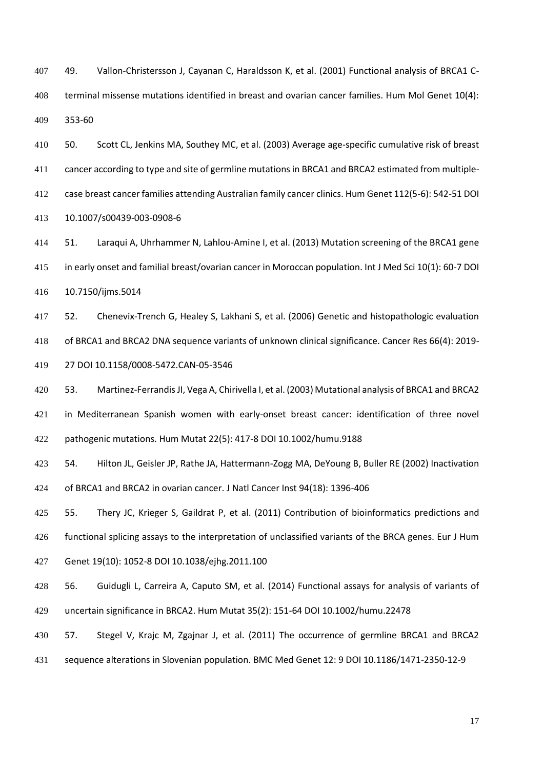49. Vallon-Christersson J, Cayanan C, Haraldsson K, et al. (2001) Functional analysis of BRCA1 C- terminal missense mutations identified in breast and ovarian cancer families. Hum Mol Genet 10(4): 353-60

 50. Scott CL, Jenkins MA, Southey MC, et al. (2003) Average age-specific cumulative risk of breast cancer according to type and site of germline mutations in BRCA1 and BRCA2 estimated from multiple- case breast cancer families attending Australian family cancer clinics. Hum Genet 112(5-6): 542-51 DOI 10.1007/s00439-003-0908-6

 51. Laraqui A, Uhrhammer N, Lahlou-Amine I, et al. (2013) Mutation screening of the BRCA1 gene in early onset and familial breast/ovarian cancer in Moroccan population. Int J Med Sci 10(1): 60-7 DOI 10.7150/ijms.5014

 52. Chenevix-Trench G, Healey S, Lakhani S, et al. (2006) Genetic and histopathologic evaluation of BRCA1 and BRCA2 DNA sequence variants of unknown clinical significance. Cancer Res 66(4): 2019- 27 DOI 10.1158/0008-5472.CAN-05-3546

 53. Martinez-Ferrandis JI, Vega A, Chirivella I, et al. (2003) Mutational analysis of BRCA1 and BRCA2 in Mediterranean Spanish women with early-onset breast cancer: identification of three novel pathogenic mutations. Hum Mutat 22(5): 417-8 DOI 10.1002/humu.9188

 54. Hilton JL, Geisler JP, Rathe JA, Hattermann-Zogg MA, DeYoung B, Buller RE (2002) Inactivation of BRCA1 and BRCA2 in ovarian cancer. J Natl Cancer Inst 94(18): 1396-406

55. Thery JC, Krieger S, Gaildrat P, et al. (2011) Contribution of bioinformatics predictions and

functional splicing assays to the interpretation of unclassified variants of the BRCA genes. Eur J Hum

Genet 19(10): 1052-8 DOI 10.1038/ejhg.2011.100

 56. Guidugli L, Carreira A, Caputo SM, et al. (2014) Functional assays for analysis of variants of uncertain significance in BRCA2. Hum Mutat 35(2): 151-64 DOI 10.1002/humu.22478

- 57. Stegel V, Krajc M, Zgajnar J, et al. (2011) The occurrence of germline BRCA1 and BRCA2
- sequence alterations in Slovenian population. BMC Med Genet 12: 9 DOI 10.1186/1471-2350-12-9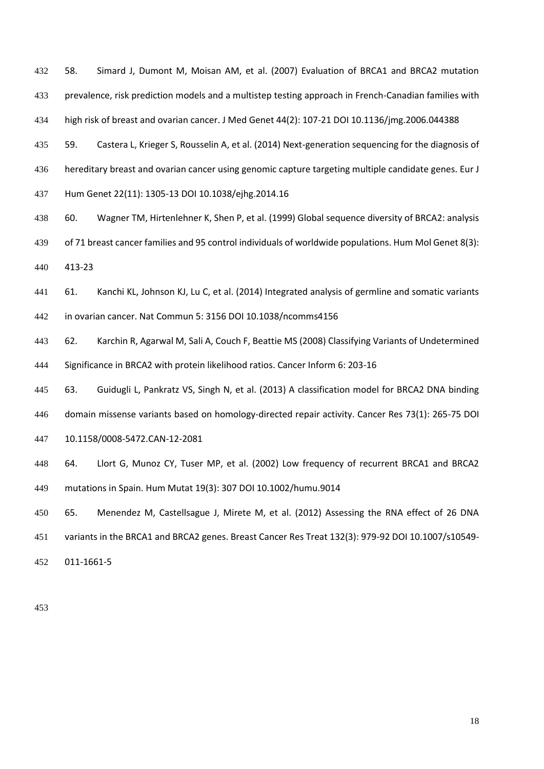58. Simard J, Dumont M, Moisan AM, et al. (2007) Evaluation of BRCA1 and BRCA2 mutation prevalence, risk prediction models and a multistep testing approach in French-Canadian families with high risk of breast and ovarian cancer. J Med Genet 44(2): 107-21 DOI 10.1136/jmg.2006.044388

 59. Castera L, Krieger S, Rousselin A, et al. (2014) Next-generation sequencing for the diagnosis of hereditary breast and ovarian cancer using genomic capture targeting multiple candidate genes. Eur J Hum Genet 22(11): 1305-13 DOI 10.1038/ejhg.2014.16

- 60. Wagner TM, Hirtenlehner K, Shen P, et al. (1999) Global sequence diversity of BRCA2: analysis
- of 71 breast cancer families and 95 control individuals of worldwide populations. Hum Mol Genet 8(3):

413-23

 61. Kanchi KL, Johnson KJ, Lu C, et al. (2014) Integrated analysis of germline and somatic variants in ovarian cancer. Nat Commun 5: 3156 DOI 10.1038/ncomms4156

 62. Karchin R, Agarwal M, Sali A, Couch F, Beattie MS (2008) Classifying Variants of Undetermined Significance in BRCA2 with protein likelihood ratios. Cancer Inform 6: 203-16

 63. Guidugli L, Pankratz VS, Singh N, et al. (2013) A classification model for BRCA2 DNA binding domain missense variants based on homology-directed repair activity. Cancer Res 73(1): 265-75 DOI

10.1158/0008-5472.CAN-12-2081

 64. Llort G, Munoz CY, Tuser MP, et al. (2002) Low frequency of recurrent BRCA1 and BRCA2 mutations in Spain. Hum Mutat 19(3): 307 DOI 10.1002/humu.9014

65. Menendez M, Castellsague J, Mirete M, et al. (2012) Assessing the RNA effect of 26 DNA

variants in the BRCA1 and BRCA2 genes. Breast Cancer Res Treat 132(3): 979-92 DOI 10.1007/s10549-

011-1661-5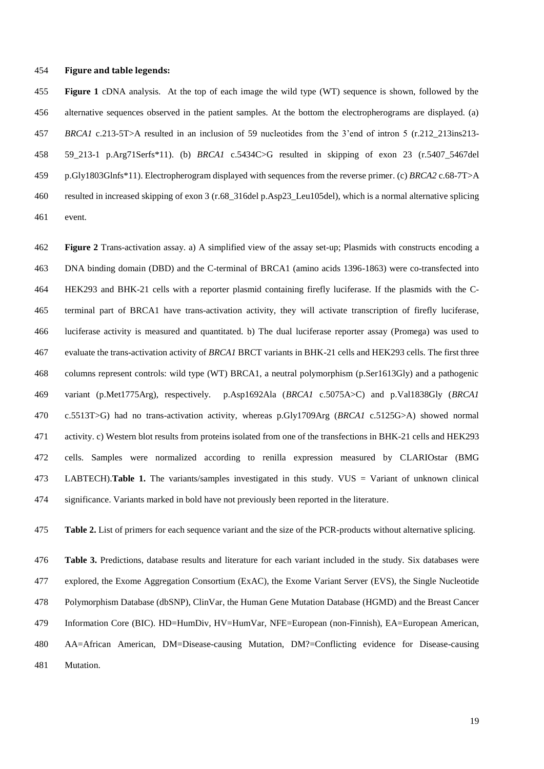#### **Figure and table legends:**

 **Figure 1** cDNA analysis. At the top of each image the wild type (WT) sequence is shown, followed by the alternative sequences observed in the patient samples. At the bottom the electropherograms are displayed. (a) *BRCA1* c.213-5T>A resulted in an inclusion of 59 nucleotides from the 3'end of intron 5 (r.212\_213ins213- 59\_213-1 p.Arg71Serfs\*11). (b) *BRCA1* c.5434C>G resulted in skipping of exon 23 (r.5407\_5467del p.Gly1803Glnfs\*11). Electropherogram displayed with sequences from the reverse primer. (c) *BRCA2* c.68-7T>A resulted in increased skipping of exon 3 (r.68\_316del p.Asp23\_Leu105del), which is a normal alternative splicing event.

 **Figure 2** Trans-activation assay. a) A simplified view of the assay set-up; Plasmids with constructs encoding a DNA binding domain (DBD) and the C-terminal of BRCA1 (amino acids 1396-1863) were co-transfected into HEK293 and BHK-21 cells with a reporter plasmid containing firefly luciferase. If the plasmids with the C- terminal part of BRCA1 have trans-activation activity, they will activate transcription of firefly luciferase, luciferase activity is measured and quantitated. b) The dual luciferase reporter assay (Promega) was used to evaluate the trans-activation activity of *BRCA1* BRCT variants in BHK-21 cells and HEK293 cells. The first three columns represent controls: wild type (WT) BRCA1, a neutral polymorphism (p.Ser1613Gly) and a pathogenic variant (p.Met1775Arg), respectively. p.Asp1692Ala (*BRCA1* c.5075A>C) and p.Val1838Gly (*BRCA1* c.5513T>G) had no trans-activation activity, whereas p.Gly1709Arg (*BRCA1* c.5125G>A) showed normal activity. c) Western blot results from proteins isolated from one of the transfections in BHK-21 cells and HEK293 cells. Samples were normalized according to renilla expression measured by CLARIOstar (BMG LABTECH).**Table 1.** The variants/samples investigated in this study. VUS = Variant of unknown clinical significance. Variants marked in bold have not previously been reported in the literature.

**Table 2.** List of primers for each sequence variant and the size of the PCR-products without alternative splicing.

 **Table 3.** Predictions, database results and literature for each variant included in the study. Six databases were explored, the Exome Aggregation Consortium (ExAC), the Exome Variant Server (EVS), the Single Nucleotide Polymorphism Database (dbSNP), ClinVar, the Human Gene Mutation Database (HGMD) and the Breast Cancer Information Core (BIC). HD=HumDiv, HV=HumVar, NFE=European (non-Finnish), EA=European American, AA=African American, DM=Disease-causing Mutation, DM?=Conflicting evidence for Disease-causing Mutation.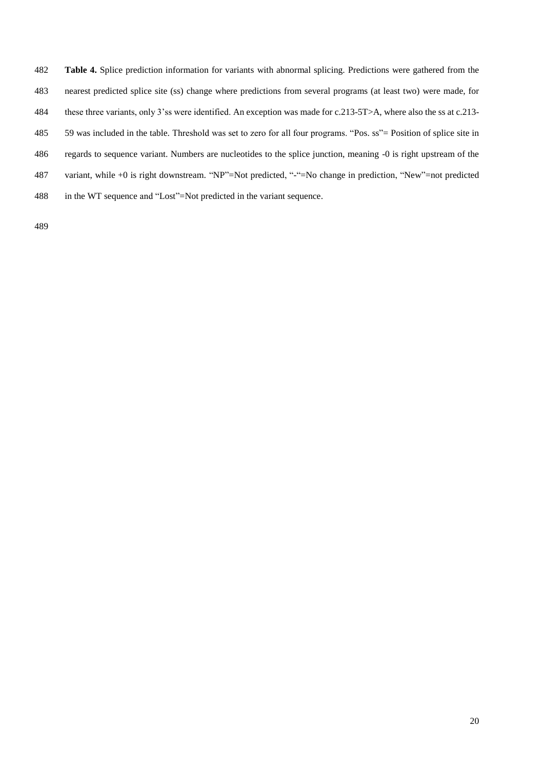- **Table 4.** Splice prediction information for variants with abnormal splicing. Predictions were gathered from the nearest predicted splice site (ss) change where predictions from several programs (at least two) were made, for these three variants, only 3'ss were identified. An exception was made for c.213-5T>A, where also the ss at c.213- 59 was included in the table. Threshold was set to zero for all four programs. "Pos. ss"= Position of splice site in regards to sequence variant. Numbers are nucleotides to the splice junction, meaning -0 is right upstream of the variant, while +0 is right downstream. "NP"=Not predicted, "-"=No change in prediction, "New"=not predicted
- in the WT sequence and "Lost"=Not predicted in the variant sequence.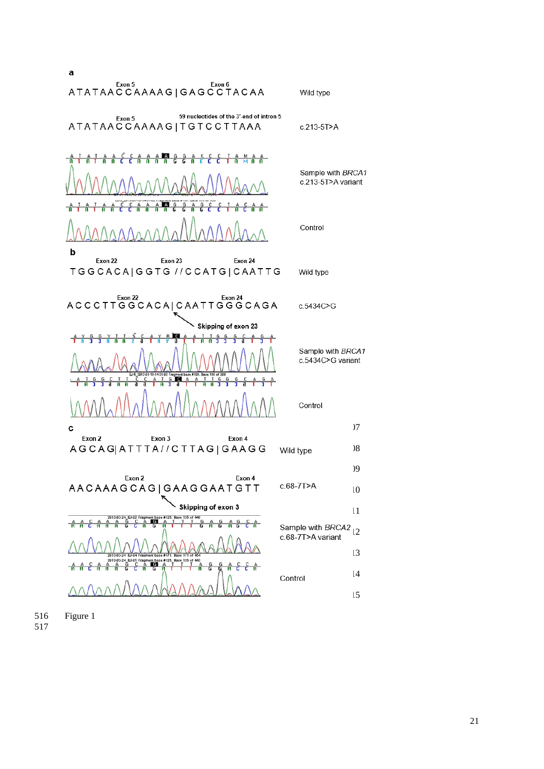

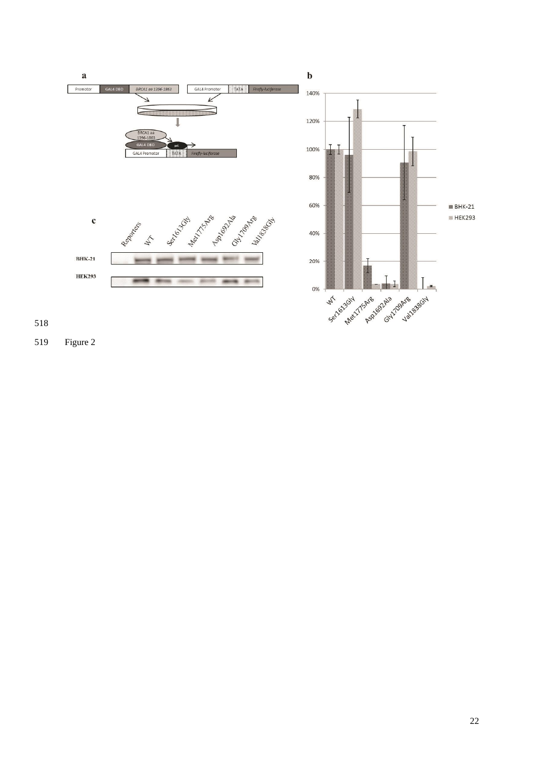

Figure 2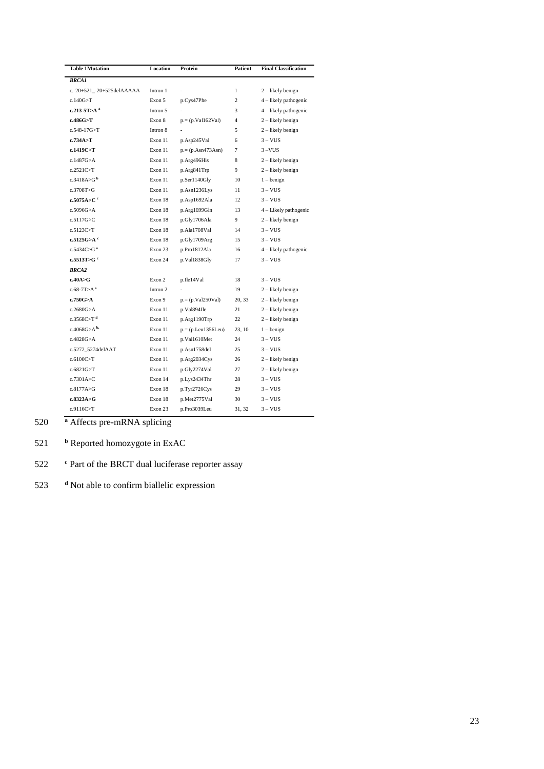| <b>Table 1Mutation</b>        | <b>Location</b> | Protein             | <b>Patient</b> | <b>Final Classification</b> |
|-------------------------------|-----------------|---------------------|----------------|-----------------------------|
| <b>BRCA1</b>                  |                 |                     |                |                             |
| c.-20+521_-20+525delAAAAA     | Intron 1        |                     | 1              | 2 – likely benign           |
| c.140G > T                    | Exon 5          | p.Cys47Phe          | $\overline{c}$ | 4 – likely pathogenic       |
| $c.213 - 5T > A$ <sup>a</sup> | Intron 5        |                     | 3              | 4 – likely pathogenic       |
| c.486G > T                    | Exon 8          | $p = (p.Vall62Val)$ | 4              | 2 – likely benign           |
| $c.548-17G > T$               | Intron 8        |                     | 5              | $2$ – likely benign         |
| c.734A > T                    | Exon 11         | p.Asp245Val         | 6              | $3 - VUS$                   |
| c.1419C>T                     | Exon 11         | $p = (p.Asn473Asn)$ | 7              | $3 - VUS$                   |
| c.1487G>A                     | Exon 11         | p.Arg496His         | 8              | $2$ – likely benign         |
| c.2521C>T                     | Exon 11         | p.Arg841Trp         | 9              | 2 – likely benign           |
| c.3418A > G <sup>b</sup>      | Exon 11         | p.Ser1140Gly        | 10             | $1 - \text{benign}$         |
| c.3708T>G                     | Exon 11         | p.Asn1236Lys        | 11             | $3 - VUS$                   |
| c.5075A>C $\degree$           | Exon 18         | p.Asp1692Ala        | 12             | $3 - VUS$                   |
| c.5096G > A                   | Exon 18         | p.Arg1699Gln        | 13             | 4 - Likely pathogenic       |
| c.5117G > C                   | Exon 18         | p.Gly1706Ala        | 9              | 2 – likely benign           |
| c.5123C>T                     | Exon 18         | p.Ala1708Val        | 14             | $3 - VUS$                   |
| c.5125G>A $c$                 | Exon 18         | p.Gly1709Arg        | 15             | $3 - VUS$                   |
| c.5434C>G <sup>a</sup>        | Exon 23         | p.Pro1812Ala        | 16             | 4 – likely pathogenic       |
| c.5513T>G $^{\rm c}$          | Exon 24         | p.Val1838Gly        | 17             | $3 - VUS$                   |
| <b>BRCA2</b>                  |                 |                     |                |                             |
| c.40A > G                     | Exon 2          | p.Ile14Val          | 18             | $3 - VUS$                   |
| $c.68-7T>Aa$                  | Intron 2        |                     | 19             | $2$ – likely benign         |
| c.750G <sub>2</sub> A         | Exon 9          | $p = (p.Val250Val)$ | 20, 33         | $2$ – likely benign         |
| c.2680G > A                   | Exon 11         | p.Val894Ile         | 21             | 2 – likely benign           |
| c.3568C > T <sup>d</sup>      | Exon 11         | p.Arg1190Trp        | 22             | $2$ – likely benign         |
| c.4068G>A <sup>b</sup>        | Exon 11         | $p = (pLeu1356Leu)$ | 23, 10         | $1 - \text{benign}$         |
| c.4828G > A                   | Exon 11         | p.Val1610Met        | 24             | $3 - VUS$                   |
| c.5272 5274delAAT             | Exon 11         | p.Asn1758del        | 25             | $3 - VUS$                   |
| c.6100C > T                   | Exon 11         | p.Arg2034Cys        | 26             | 2 – likely benign           |
| c.6821G > T                   | Exon 11         | p.Gly2274Val        | 27             | 2 – likely benign           |
| c.7301A>C                     | Exon 14         | p.Lys2434Thr        | 28             | $3 - VUS$                   |
| c.8177A > G                   | Exon 18         | p.Tyr2726Cys        | 29             | $3 - VUS$                   |
| c.8323A > G                   | Exon 18         | p.Met2775Val        | 30             | $3 - VUS$                   |
| c.9116C > T                   | Exon 23         | p.Pro3039Leu        | 31, 32         | $3 - VUS$                   |

520 **<sup>a</sup>** Affects pre-mRNA splicing

- 521 **b** Reported homozygote in ExAC
- 522 <sup>c</sup> Part of the BRCT dual luciferase reporter assay
- 523 **<sup>d</sup>** Not able to confirm biallelic expression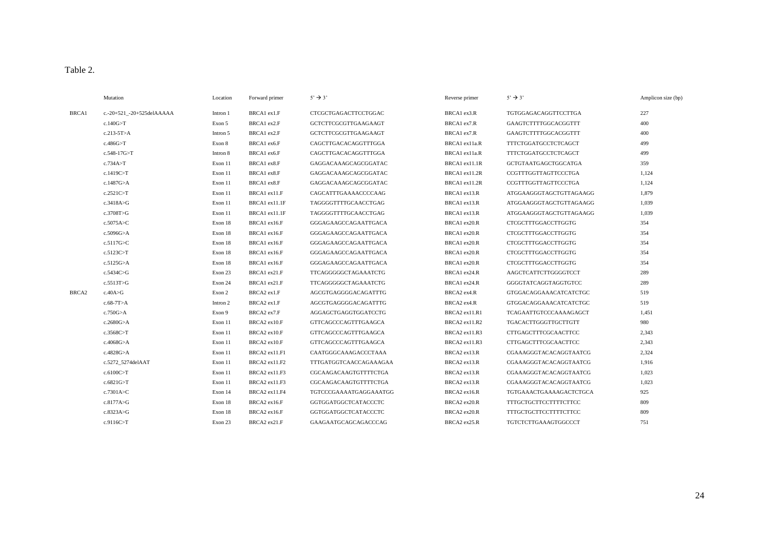# Table 2.

|                   | Mutation                  | Location | Forward primer | $5' \rightarrow 3'$         | Reverse primer | $5' \rightarrow 3'$          | Amplicon size (bp) |
|-------------------|---------------------------|----------|----------------|-----------------------------|----------------|------------------------------|--------------------|
| BRCA1             | c.-20+521 -20+525delAAAAA | Intron 1 | BRCA1 ex1.F    | CTCGCTGAGACTTCCTGGAC        | BRCA1 ex3.R    | TGTGGAGACAGGTTCCTTGA         | 227                |
|                   | c.140G > T                | Exon 5   | BRCA1 ex2.F    | GCTCTTCGCGTTGAAGAAGT        | BRCA1 ex7.R    | GAAGTCTTTTGGCACGGTTT         | 400                |
|                   | $c.213-5T > A$            | Intron 5 | BRCA1 ex2.F    | GCTCTTCGCGTTGAAGAAGT        | BRCA1 ex7.R    | GAAGTCTTTTGGCACGGTTT         | 400                |
|                   | c.486G > T                | Exon 8   | BRCA1 ex6.F    | CAGCTTGACACAGGTTTGGA        | BRCA1 ex11a.R  | TTTCTGGATGCCTCTCAGCT         | 499                |
|                   | c.548-17G>T               | Intron 8 | BRCA1 ex6.F    | CAGCTTGACACAGGTTTGGA        | BRCA1 ex11a.R  | TTTCTGGATGCCTCTCAGCT         | 499                |
|                   | c.734A > T                | Exon 11  | BRCA1 ex8.F    | GAGGACAAAGCAGCGGATAC        | BRCA1 ex11.1R  | GCTGTAATGAGCTGGCATGA         | 359                |
|                   | c.1419C>T                 | Exon 11  | BRCA1 ex8.F    | GAGGACAAAGCAGCGGATAC        | BRCA1 ex11.2R  | CCGTTTGGTTAGTTCCCTGA         | 1,124              |
|                   | c.1487G>A                 | Exon 11  | BRCA1 ex8.F    | GAGGACAAAGCAGCGGATAC        | BRCA1 ex11.2R  | CCGTTTGGTTAGTTCCCTGA         | 1,124              |
|                   | c.2521C>T                 | Exon 11  | BRCA1 ex11.F   | CAGCATTTGAAAACCCCAAG        | BRCA1 ex13.R   | ATGGAAGGGTAGCTGTTAGAAGG      | 1,879              |
|                   | c.3418A>G                 | Exon 11  | BRCA1 ex11.1F  | TAGGGGTTTTGCAACCTGAG        | BRCA1 ex13.R   | ATGGAAGGGTAGCTGTTAGAAGG      | 1,039              |
|                   | c.3708T > G               | Exon 11  | BRCA1 ex11.1F  | TAGGGGTTTTGCAACCTGAG        | BRCA1 ex13.R   | ATGGAAGGGTAGCTGTTAGAAGG      | 1,039              |
|                   | c.5075A>C                 | Exon 18  | BRCA1 ex16.F   | GGGAGAAGCCAGAATTGACA        | BRCA1 ex20.R   | <b>CTCGCTTTGGACCTTGGTG</b>   | 354                |
|                   | c.5096G > A               | Exon 18  | BRCA1 ex16.F   | GGGAGAAGCCAGAATTGACA        | BRCA1 ex20.R   | CTCGCTTTGGACCTTGGTG          | 354                |
|                   | c.5117G>C                 | Exon 18  | BRCA1 ex16.F   | GGGAGAAGCCAGAATTGACA        | BRCA1 ex20.R   | CTCGCTTTGGACCTTGGTG          | 354                |
|                   | c.5123C>T                 | Exon 18  | BRCA1 ex16.F   | GGGAGAAGCCAGAATTGACA        | BRCA1 ex20.R   | CTCGCTTTGGACCTTGGTG          | 354                |
|                   | c.5125G>A                 | Exon 18  | BRCA1 ex16.F   | GGGAGAAGCCAGAATTGACA        | BRCA1 ex20.R   | CTCGCTTTGGACCTTGGTG          | 354                |
|                   | c.5434C>G                 | Exon 23  | BRCA1 ex21.F   | TTCAGGGGGCTAGAAATCTG        | BRCA1 ex24.R   | AAGCTCATTCTTGGGGTCCT         | 289                |
|                   | c.5513T>G                 | Exon 24  | BRCA1 ex21.F   | TTCAGGGGGCTAGAAATCTG        | BRCA1 ex24.R   | GGGGTATCAGGTAGGTGTCC         | 289                |
| BRCA <sub>2</sub> | c.40A>G                   | Exon 2   | BRCA2 ex1.F    | AGCGTGAGGGGACAGATTTG        | BRCA2 ex4.R    | GTGGACAGGAAACATCATCTGC       | 519                |
|                   | $c.68-7T>A$               | Intron 2 | BRCA2 ex1.F    | AGCGTGAGGGGACAGATTTG        | BRCA2 ex4.R    | GTGGACAGGAAACATCATCTGC       | 519                |
|                   | c.750G>A                  | Exon 9   | BRCA2 ex7.F    | AGGAGCTGAGGTGGATCCTG        | BRCA2 ex11.R1  | TCAGAATTGTCCCAAAAGAGCT       | 1,451              |
|                   | c.2680G > A               | Exon 11  | BRCA2 ex10.F   | <b>GTTCAGCCCAGTTTGAAGCA</b> | BRCA2 ex11.R2  | TGACACTTGGGTTGCTTGTT         | 980                |
|                   | c.3568C>T                 | Exon 11  | BRCA2 ex10.F   | GTTCAGCCCAGTTTGAAGCA        | BRCA2 ex11.R3  | CTTGAGCTTTCGCAACTTCC         | 2,343              |
|                   | c.4068G>A                 | Exon 11  | BRCA2 ex10.F   | GTTCAGCCCAGTTTGAAGCA        | BRCA2 ex11.R3  | CTTGAGCTTTCGCAACTTCC         | 2,343              |
|                   | c.4828G>A                 | Exon 11  | BRCA2 ex11.F1  | CAATGGGCAAAGACCCTAAA        | BRCA2 ex13.R   | CGAAAGGGTACACAGGTAATCG       | 2,324              |
|                   | c.5272 5274delAAT         | Exon 11  | BRCA2 ex11.F2  | TTTGATGGTCAACCAGAAAGAA      | BRCA2 ex13.R   | CGAAAGGGTACACAGGTAATCG       | 1,916              |
|                   | c.6100C>T                 | Exon 11  | BRCA2 ex11.F3  | CGCAAGACAAGTGTTTTCTGA       | BRCA2 ex13.R   | CGAAAGGGTACACAGGTAATCG       | 1,023              |
|                   | c.6821G > T               | Exon 11  | BRCA2 ex11.F3  | CGCAAGACAAGTGTTTTCTGA       | BRCA2 ex13.R   | CGAAAGGGTACACAGGTAATCG       | 1,023              |
|                   | c.7301A>C                 | Exon 14  | BRCA2 ex11.F4  | TGTCCCGAAAATGAGGAAATGG      | BRCA2 ex16.R   | TGTGAAACTGAAAAGACTCTGCA      | 925                |
|                   | c.8177A>G                 | Exon 18  | BRCA2 ex16.F   | GGTGGATGGCTCATACCCTC        | BRCA2 ex20.R   | <b>TTTGCTGCTTCCTTTTCTTCC</b> | 809                |
|                   | c.8323A>G                 | Exon 18  | BRCA2 ex16.F   | GGTGGATGGCTCATACCCTC        | BRCA2 ex20.R   | <b>TTTGCTGCTTCCTTTTCTTCC</b> | 809                |
|                   | c.9116C>T                 | Exon 23  | BRCA2 ex21.F   | GAAGAATGCAGCAGACCCAG        | BRCA2 ex25.R   | TGTCTCTTGAAAGTGGCCCT         | 751                |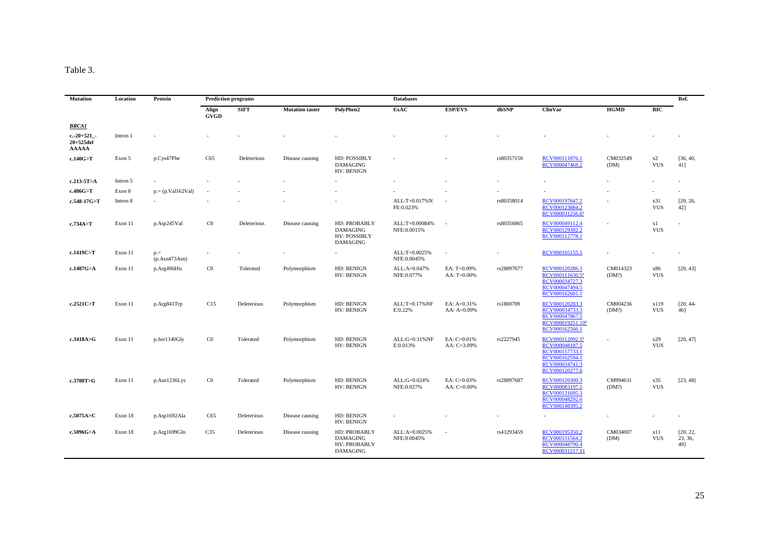# Table 3.

| <b>Mutation</b>                            | Location | Protein                     | <b>Prediction programs</b> |             |                        | <b>Databases</b>                                                   |                               |                            |               |                                                                                                           |                   |                    | Ref.                       |
|--------------------------------------------|----------|-----------------------------|----------------------------|-------------|------------------------|--------------------------------------------------------------------|-------------------------------|----------------------------|---------------|-----------------------------------------------------------------------------------------------------------|-------------------|--------------------|----------------------------|
|                                            |          |                             | Align<br><b>GVGD</b>       | <b>SIFT</b> | <b>Mutation taster</b> | PolyPhen2                                                          | <b>ExAC</b>                   | <b>ESP/EVS</b>             | dbSNP         | <b>ClinVar</b>                                                                                            | <b>HGMD</b>       | BIC                |                            |
| <b>BRCA1</b>                               |          |                             |                            |             |                        |                                                                    |                               |                            |               |                                                                                                           |                   |                    |                            |
| $c.-20+521$ -<br>20+525del<br><b>AAAAA</b> | Intron 1 |                             |                            |             |                        |                                                                    |                               |                            |               |                                                                                                           |                   |                    |                            |
| c.140G>T                                   | Exon 5   | p.Cys47Phe                  | C65                        | Deleterious | Disease causing        | HD: POSSIBLY<br><b>DAMAGING</b><br>HV: BENIGN                      |                               |                            | rs80357150    | RCV000111876.1<br>RCV000047469.2                                                                          | CM032549<br>(DM)  | x2<br><b>VUS</b>   | [36, 40,<br>41]            |
| $c.213 - 5T > A$                           | Intron 5 |                             |                            |             |                        |                                                                    |                               |                            |               |                                                                                                           |                   |                    |                            |
| c.486G>T                                   | Exon 8   | $p = (p.Val162Val)$         |                            |             |                        |                                                                    |                               | $\overline{\phantom{a}}$   |               |                                                                                                           |                   |                    |                            |
| c.548-17G>T                                | Intron 8 |                             |                            |             |                        |                                                                    | ALL:T=0.017%N<br>FE:0.023%    | $\overline{\phantom{a}}$   | rs80358014    | RCV000197647.2<br>RCV000123884.2<br>RCV000031256.6ª                                                       |                   | x31<br><b>VUS</b>  | [20, 26,<br>42]            |
| c.734A > T                                 | Exon 11  | p.Asp245Val                 | $_{\rm C0}$                | Deleterious | Disease causing        | HD: PROBABLY<br><b>DAMAGING</b><br><b>HV: POSSIBLY</b><br>DAMAGING | ALL:T=0.00084%<br>NFE:0.0015% | $\sim$                     | rs80356865    | RCV000049112.4<br>RCV000129392.2<br>RCV000112778.1                                                        |                   | x1<br><b>VUS</b>   |                            |
| c.1419C>T                                  | Exon 11  | $p_{0} =$<br>(p. Asn473Asn) |                            |             |                        |                                                                    | ALL:T=0.0025%<br>NFE:0.0045%  | $\sim$                     | $\mathcal{L}$ | RCV000165155.1                                                                                            |                   |                    |                            |
| c.1487G>A                                  | Exon 11  | p.Arg496His                 | $_{\rm CO}$                | Tolerated   | Polymorphism           | HD: BENIGN<br>HV: BENIGN                                           | ALL:A=0.047%<br>NFE:0.077%    | EA: T=0.09%<br>AA: T=0.00% | rs28897677    | RCV000120286.3<br>RCV000111630.5 <sup>a</sup><br>RCV000034727.3<br>RCV000047494.5<br>RCV000162601.1       | CM014323<br>(DM?) | x86<br><b>VUS</b>  | [20, 43]                   |
| c.2521C > T                                | Exon 11  | p.Arg841Trp                 | C15                        | Deleterious | Polymorphism           | HD: BENIGN<br>HV: BENIGN                                           | ALL:T=0.17%NF<br>E:0.22%      | EA: A=0.31%<br>AA: A=0.09% | rs1800709     | RCV000120283.3<br>RCV000034733.3<br>RCV000047867.5<br>RCV000019251.10 <sup>a</sup><br>RCV000162566.1      | CM004236<br>(DM?) | x119<br><b>VUS</b> | [20, 44]<br>46]            |
| c.3418A>G                                  | Exon 11  | p.Ser1140Gly                | $_{\rm C0}$                | Tolerated   | Polymorphism           | HD: BENIGN<br>HV: BENIGN                                           | ALL:G=0.31%NF<br>E:0.013%     | EA: C=0.01%<br>AA: C=3.09% | rs2227945     | RCV000112092.5ª<br>RCV000048187.5<br>RCV000157733.1<br>RCV000162594.1<br>RCV000034741.3<br>RCV000120277.6 |                   | x29<br><b>VUS</b>  | [20, 47]                   |
| c.3708T>G                                  | Exon 11  | p.Asn1236Lys                | $_{\rm CO}$                | Tolerated   | Polymorphism           | HD: BENIGN<br>HV: BENIGN                                           | ALL:G=0.024%<br>NFE:0.027%    | EA: C=0.03%<br>AA: C=0.00% | rs28897687    | RCV000120300.3<br>RCV000083197.5<br>RCV000131695.3<br>RCV000048292.6<br>RCV000148395.2                    | CM994631<br>(DM?) | x35<br><b>VUS</b>  | [23, 48]                   |
| c.5075A>C                                  | Exon 18  | p.Asp1692Ala                | C65                        | Deleterious | Disease causing        | HD: BENIGN<br>HV: BENIGN                                           |                               |                            |               |                                                                                                           |                   |                    |                            |
| c.5096G>A                                  | Exon 18  | p.Arg1699Gln                | C <sub>35</sub>            | Deleterious | Disease causing        | HD: PROBABLY<br><b>DAMAGING</b><br>HV: PROBABLY<br>DAMAGING        | ALL:A=0.0025%<br>NFE:0.0045%  | $\overline{\phantom{a}}$   | rs41293459    | RCV000195350.2<br>RCV000131564.2<br>RCV000048790.4<br>RCV000031217.11                                     | CM034007<br>(DM)  | x11<br><b>VUS</b>  | [20, 22,<br>23, 36,<br>49] |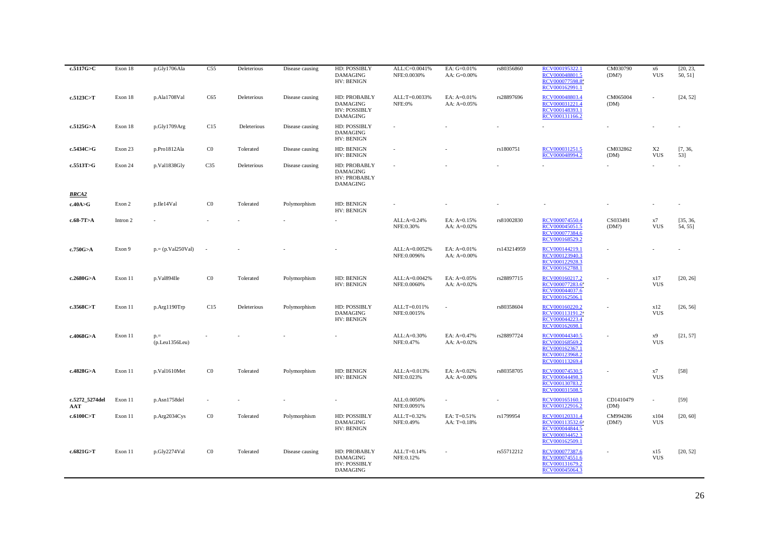| c.5117G>C             | Exon 18  | p.Gly1706Ala             | C55             | Deleterious | Disease causing | HD: POSSIBLY<br><b>DAMAGING</b><br>HV: BENIGN                             | ALL:C=0.0041%<br>NFE:0.0030% | EA: G=0.01%<br>AA: G=0.00%   | rs80356860               | RCV000195322.1<br>RCV000048801.5<br>RCV000077598.8ª<br>RCV000162991.1                               | CM030790<br>(DM?) | х6<br><b>VUS</b>             | [20, 23,<br>50, 51] |
|-----------------------|----------|--------------------------|-----------------|-------------|-----------------|---------------------------------------------------------------------------|------------------------------|------------------------------|--------------------------|-----------------------------------------------------------------------------------------------------|-------------------|------------------------------|---------------------|
| c.5123C>T             | Exon 18  | p.Ala1708Val             | C65             | Deleterious | Disease causing | HD: PROBABLY<br><b>DAMAGING</b><br><b>HV: POSSIBLY</b><br><b>DAMAGING</b> | ALL:T=0.0033%<br>NFE:0%      | EA: A=0.01%<br>AA: A=0.05%   | rs28897696               | RCV000048803.4<br>RCV000031221.4<br>RCV000148393.1<br>RCV000131166.2                                | CM065004<br>(DM)  |                              | [24, 52]            |
| c.5125G>A             | Exon 18  | p.Gly1709Arg             | C15             | Deleterious | Disease causing | HD: POSSIBLY<br><b>DAMAGING</b><br>HV: BENIGN                             |                              |                              |                          |                                                                                                     |                   |                              |                     |
| c.5434C>G             | Exon 23  | p.Pro1812Ala             | $_{\rm C0}$     | Tolerated   | Disease causing | HD: BENIGN<br>HV: BENIGN                                                  |                              |                              | rs1800751                | RCV000031251.5<br>RCV000048994.2                                                                    | CM032862<br>(DM)  | X <sub>2</sub><br><b>VUS</b> | [7, 36,<br>53]      |
| c.5513T>G             | Exon 24  | p.Val1838Gly             | C <sub>35</sub> | Deleterious | Disease causing | HD: PROBABLY<br><b>DAMAGING</b><br>HV: PROBABLY<br><b>DAMAGING</b>        |                              |                              |                          |                                                                                                     |                   |                              |                     |
| <b>BRCA2</b>          |          |                          |                 |             |                 |                                                                           |                              |                              |                          |                                                                                                     |                   |                              |                     |
| c.40A > G             | Exon 2   | p.Ile14Val               | C <sub>0</sub>  | Tolerated   | Polymorphism    | HD: BENIGN<br>HV: BENIGN                                                  |                              |                              |                          |                                                                                                     |                   |                              |                     |
| $c.68-7T>A$           | Intron 2 |                          |                 |             |                 |                                                                           | ALL:A=0.24%<br>NFE:0.30%     | EA: A=0.15%<br>AA: A=0.02%   | rs81002830               | RCV000074550.4<br>RCV000045051.5<br>RCV000077384.6<br>RCV000168529.2                                | CS033491<br>(DM?) | x7<br><b>VUS</b>             | [35, 36,<br>54, 55] |
| c.750G>A              | Exon 9   | $p = (p.Val250Val)$      |                 |             |                 |                                                                           | ALL:A=0.0052%<br>NFE:0.0096% | EA: A=0.01%<br>AA: A=0.00%   | rs143214959              | RCV000144219.1<br>RCV000123940.3<br>RCV000122928.3<br>RCV000162788.1                                |                   |                              |                     |
| c.2680G>A             | Exon 11  | p.Val894Ile              | C <sub>0</sub>  | Tolerated   | Polymorphism    | HD: BENIGN<br>HV: BENIGN                                                  | ALL:A=0.0042%<br>NFE:0.0060% | EA: A=0.05%<br>AA: $A=0.02%$ | rs28897715               | RCV000160217.2<br>RCV000077283.6ª<br>RCV000044037.6<br>RCV000162506.1                               |                   | x17<br><b>VUS</b>            | [20, 26]            |
| c.3568C>T             | Exon 11  | p.Arg1190Trp             | C15             | Deleterious | Polymorphism    | HD: POSSIBLY<br><b>DAMAGING</b><br>HV: BENIGN                             | ALL:T=0.011%<br>NFE:0.0015%  |                              | rs80358604               | RCV000160220.2<br>RCV000113191.2ª<br>RCV000044223.4<br>RCV000162698.1                               |                   | x12<br><b>VUS</b>            | [26, 56]            |
| c.4068G>A             | Exon 11  | $p =$<br>(p. Leu1356Leu) |                 |             |                 |                                                                           | $ALL: A=0.30%$<br>NFE:0.47%  | EA: A=0.47%<br>AA: A=0.02%   | rs28897724               | RCV000044340.5<br>RCV000168569.2<br>RCV000162367.1<br>RCV000123968.2<br>RCV000113269.4              |                   | x9<br><b>VUS</b>             | [21, 57]            |
| c.4828G>A             | Exon 11  | p.Val1610Met             | C <sub>0</sub>  | Tolerated   | Polymorphism    | HD: BENIGN<br>HV: BENIGN                                                  | ALL:A=0.013%<br>NFE:0.023%   | EA: A=0.02%<br>AA: A=0.00%   | rs80358705               | RCV000074530.5<br>RCV000044498.3<br>RCV000130783.2<br>RCV000031508.5                                |                   | x7<br><b>VUS</b>             | $[58]$              |
| c.5272_5274del<br>AAT | Exon 11  | p.Asn1758del             |                 |             |                 |                                                                           | ALL:0.0050%<br>NFE:0.0091%   |                              | $\overline{\phantom{a}}$ | RCV000165160.1<br>RCV000122916.2                                                                    | CD1410479<br>(DM) | $\sim$                       | $[59]$              |
| c.6100C>T             | Exon 11  | p.Arg2034Cys             | $_{\rm C0}$     | Tolerated   | Polymorphism    | HD: POSSIBLY<br><b>DAMAGING</b><br>HV: BENIGN                             | ALL:T=0.32%<br>NFE:0.49%     | EA: T=0.51%<br>AA: T=0.18%   | rs1799954                | RCV000120331.4<br>RCV000113532.6 <sup>a</sup><br>RCV000044844.5<br>RCV000034452.3<br>RCV000162509.1 | CM994286<br>(DM?) | x104<br><b>VUS</b>           | [20, 60]            |
| c.6821G>T             | Exon 11  | p.Gly2274Val             | $_{\rm C0}$     | Tolerated   | Disease causing | HD: PROBABLY<br><b>DAMAGING</b><br><b>HV: POSSIBLY</b><br><b>DAMAGING</b> | ALL:T=0.14%<br>NFE:0.12%     |                              | rs55712212               | RCV000077387.6<br>RCV000074551.6<br>RCV000131679.2<br>RCV000045064.3                                |                   | x15<br><b>VUS</b>            | [20, 52]            |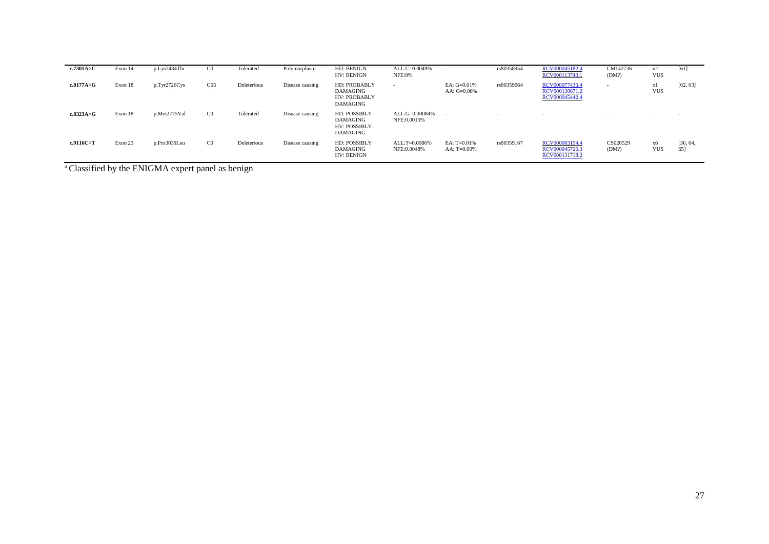| c.7301A>C | Exon 14 | p.Lys2434Thr | $_{\rm C0}$    | Tolerated   | Polymorphism    | HD: BENIGN<br>HV: BENIGN                                                  | ALL:C=0.0049%<br><b>NFE:0%</b> | $\sim$                           | rs80358954 | RCV000045182.4<br>RCV000113743.1                   | CM142736<br>(DM?)        | x2<br><b>VUS</b>         | [61]            |
|-----------|---------|--------------|----------------|-------------|-----------------|---------------------------------------------------------------------------|--------------------------------|----------------------------------|------------|----------------------------------------------------|--------------------------|--------------------------|-----------------|
| c.8177A>G | Exon 18 | p.Tyr2726Cys | C65            | Deleterious | Disease causing | HD: PROBABLY<br><b>DAMAGING</b><br><b>HV: PROBABLY</b><br><b>DAMAGING</b> | $\sim$                         | EA: $G=0.01%$<br>AA: $G=0.00\%$  | rs80359064 | RCV000077430.4<br>RCV000130671.2<br>RCV000045442.4 | $\overline{\phantom{a}}$ | xl<br><b>VUS</b>         | [62, 63]        |
| c.8323A>G | Exon 18 | p.Met2775Val | C <sub>0</sub> | Tolerated   | Disease causing | <b>HD: POSSIBLY</b><br><b>DAMAGING</b><br><b>HV: POSSIBLY</b><br>DAMAGING | ALL:G=0.00084%<br>NFE:0.0015%  | $\overline{\phantom{a}}$         |            | $\overline{\phantom{a}}$                           | $\sim$                   | $\overline{\phantom{a}}$ | $\sim$          |
| c.9116C>T | Exon 23 | p.Pro3039Leu | $_{\rm C0}$    | Deleterious | Disease causing | <b>HD: POSSIBLY</b><br><b>DAMAGING</b><br>HV: BENIGN                      | ALL:T=0.0086%<br>NFE:0.0048%   | EA: $T=0.01\%$<br>AA: $T=0.00\%$ | rs80359167 | RCV000083154.4<br>RCV000045720.3<br>RCV000131718.2 | CS020529<br>(DM?)        | хб<br><b>VUS</b>         | [36, 64,<br>65] |

<sup>a</sup> Classified by the ENIGMA expert panel as benign